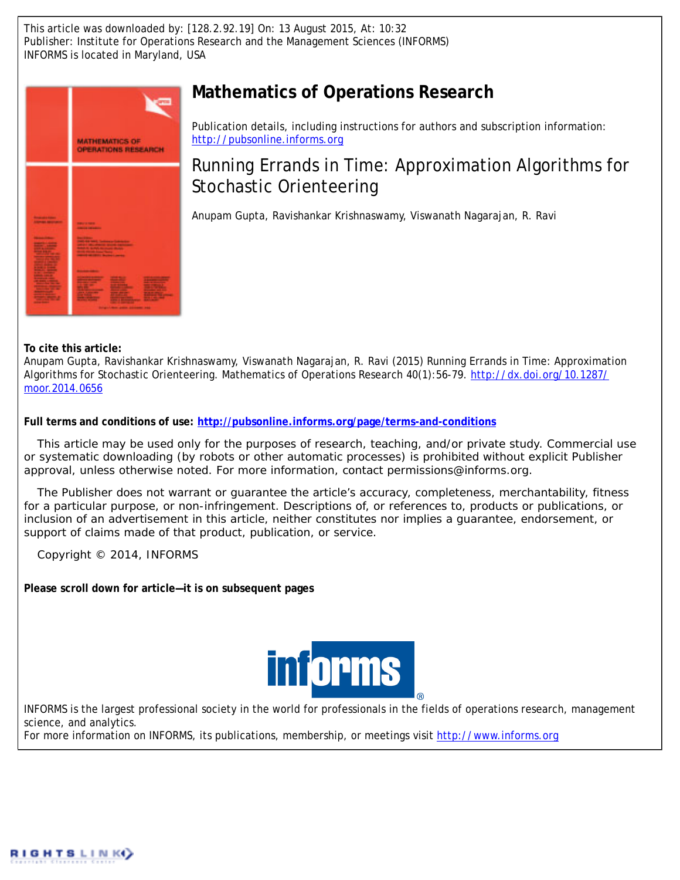This article was downloaded by: [128.2.92.19] On: 13 August 2015, At: 10:32 Publisher: Institute for Operations Research and the Management Sciences (INFORMS) INFORMS is located in Maryland, USA



# **Mathematics of Operations Research**

Publication details, including instructions for authors and subscription information: <http://pubsonline.informs.org>

# Running Errands in Time: Approximation Algorithms for Stochastic Orienteering

Anupam Gupta, Ravishankar Krishnaswamy, Viswanath Nagarajan, R. Ravi

**To cite this article:**

Anupam Gupta, Ravishankar Krishnaswamy, Viswanath Nagarajan, R. Ravi (2015) Running Errands in Time: Approximation Algorithms for Stochastic Orienteering. Mathematics of Operations Research 40(1):56-79. [http://dx.doi.org/10.1287/](http://dx.doi.org/10.1287/moor.2014.0656) [moor.2014.0656](http://dx.doi.org/10.1287/moor.2014.0656)

**Full terms and conditions of use: <http://pubsonline.informs.org/page/terms-and-conditions>**

This article may be used only for the purposes of research, teaching, and/or private study. Commercial use or systematic downloading (by robots or other automatic processes) is prohibited without explicit Publisher approval, unless otherwise noted. For more information, contact permissions@informs.org.

The Publisher does not warrant or guarantee the article's accuracy, completeness, merchantability, fitness for a particular purpose, or non-infringement. Descriptions of, or references to, products or publications, or inclusion of an advertisement in this article, neither constitutes nor implies a guarantee, endorsement, or support of claims made of that product, publication, or service.

Copyright © 2014, INFORMS

**Please scroll down for article—it is on subsequent pages**



INFORMS is the largest professional society in the world for professionals in the fields of operations research, management science, and analytics.

For more information on INFORMS, its publications, membership, or meetings visit <http://www.informs.org>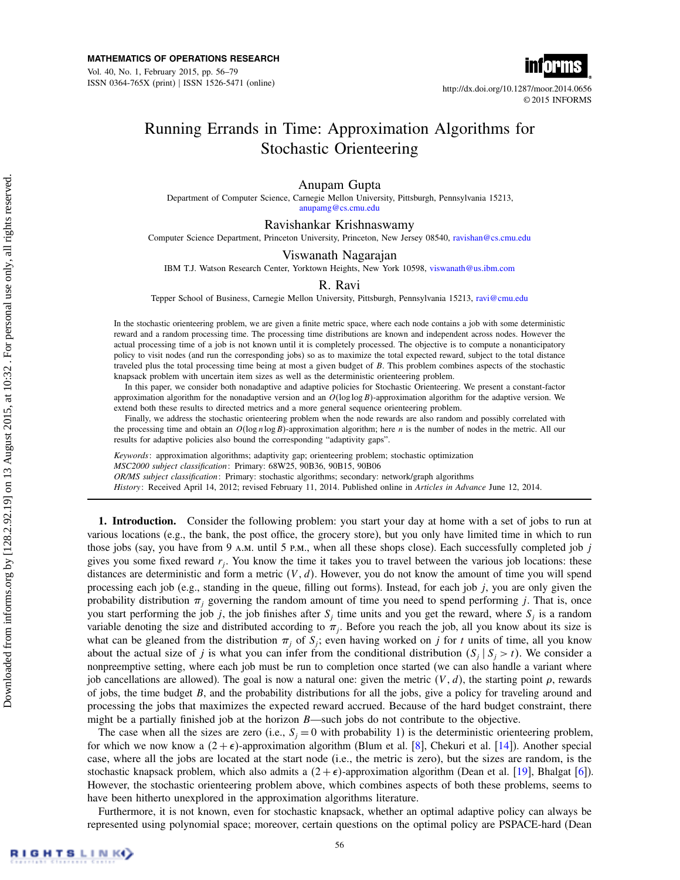MATHEMATICS OF OPERATIONS RESEARCH

Vol. 40, No. 1, February 2015, pp. 56–79 ISSN 0364-765X (print) ISSN 1526-5471 (online) http://dx.doi.org/10.1287/moor.2014.0656



© 2015 INFORMS

# Running Errands in Time: Approximation Algorithms for Stochastic Orienteering

### Anupam Gupta

Department of Computer Science, Carnegie Mellon University, Pittsburgh, Pennsylvania 15213, [anupamg@cs.cmu.edu](mailto:anupamg@cs.cmu.edu)

#### Ravishankar Krishnaswamy

Computer Science Department, Princeton University, Princeton, New Jersey 08540, [ravishan@cs.cmu.edu](mailto:ravishan@cs.cmu.edu)

## Viswanath Nagarajan

IBM T.J. Watson Research Center, Yorktown Heights, New York 10598, [viswanath@us.ibm.com](mailto:viswanath@us.ibm.com)

#### R. Ravi

Tepper School of Business, Carnegie Mellon University, Pittsburgh, Pennsylvania 15213, [ravi@cmu.edu](mailto:ravi@cmu.edu)

In the stochastic orienteering problem, we are given a finite metric space, where each node contains a job with some deterministic reward and a random processing time. The processing time distributions are known and independent across nodes. However the actual processing time of a job is not known until it is completely processed. The objective is to compute a nonanticipatory policy to visit nodes (and run the corresponding jobs) so as to maximize the total expected reward, subject to the total distance traveled plus the total processing time being at most a given budget of B. This problem combines aspects of the stochastic knapsack problem with uncertain item sizes as well as the deterministic orienteering problem.

In this paper, we consider both nonadaptive and adaptive policies for Stochastic Orienteering. We present a constant-factor approximation algorithm for the nonadaptive version and an  $O(\log \log B)$ -approximation algorithm for the adaptive version. We extend both these results to directed metrics and a more general sequence orienteering problem.

Finally, we address the stochastic orienteering problem when the node rewards are also random and possibly correlated with the processing time and obtain an  $O(\log n \log B)$ -approximation algorithm; here n is the number of nodes in the metric. All our results for adaptive policies also bound the corresponding "adaptivity gaps".

Keywords: approximation algorithms; adaptivity gap; orienteering problem; stochastic optimization

MSC2000 subject classification: Primary: 68W25, 90B36, 90B15, 90B06

OR/MS subject classification: Primary: stochastic algorithms; secondary: network/graph algorithms

History: Received April 14, 2012; revised February 11, 2014. Published online in Articles in Advance June 12, 2014.

1. Introduction. Consider the following problem: you start your day at home with a set of jobs to run at various locations (e.g., the bank, the post office, the grocery store), but you only have limited time in which to run those jobs (say, you have from 9 A.M. until 5 P.M., when all these shops close). Each successfully completed job  $j$ gives you some fixed reward  $r_j$ . You know the time it takes you to travel between the various job locations: these distances are deterministic and form a metric  $(V, d)$ . However, you do not know the amount of time you will spend processing each job (e.g., standing in the queue, filling out forms). Instead, for each job j, you are only given the probability distribution  $\pi_i$  governing the random amount of time you need to spend performing j. That is, once you start performing the job j, the job finishes after  $S_j$  time units and you get the reward, where  $S_j$  is a random variable denoting the size and distributed according to  $\pi_j$ . Before you reach the job, all you know about its size is what can be gleaned from the distribution  $\pi_j$  of  $S_j$ ; even having worked on j for t units of time, all you know about the actual size of j is what you can infer from the conditional distribution  $(S_j | S_j > t)$ . We consider a nonpreemptive setting, where each job must be run to completion once started (we can also handle a variant where job cancellations are allowed). The goal is now a natural one: given the metric  $(V, d)$ , the starting point  $\rho$ , rewards of jobs, the time budget B, and the probability distributions for all the jobs, give a policy for traveling around and processing the jobs that maximizes the expected reward accrued. Because of the hard budget constraint, there might be a partially finished job at the horizon  $B$ —such jobs do not contribute to the objective.

The case when all the sizes are zero (i.e.,  $S_i = 0$  with probability 1) is the deterministic orienteering problem, for which we now know a  $(2 + \epsilon)$ -approximation algorithm (Blum et al. [\[8\]](#page-24-0), Chekuri et al. [\[14\]](#page-24-1)). Another special case, where all the jobs are located at the start node (i.e., the metric is zero), but the sizes are random, is the stochastic knapsack problem, which also admits a  $(2 + \epsilon)$ -approximation algorithm (Dean et al. [\[19\]](#page-24-2), Bhalgat [\[6\]](#page-24-3)). However, the stochastic orienteering problem above, which combines aspects of both these problems, seems to have been hitherto unexplored in the approximation algorithms literature.

Furthermore, it is not known, even for stochastic knapsack, whether an optimal adaptive policy can always be represented using polynomial space; moreover, certain questions on the optimal policy are PSPACE-hard (Dean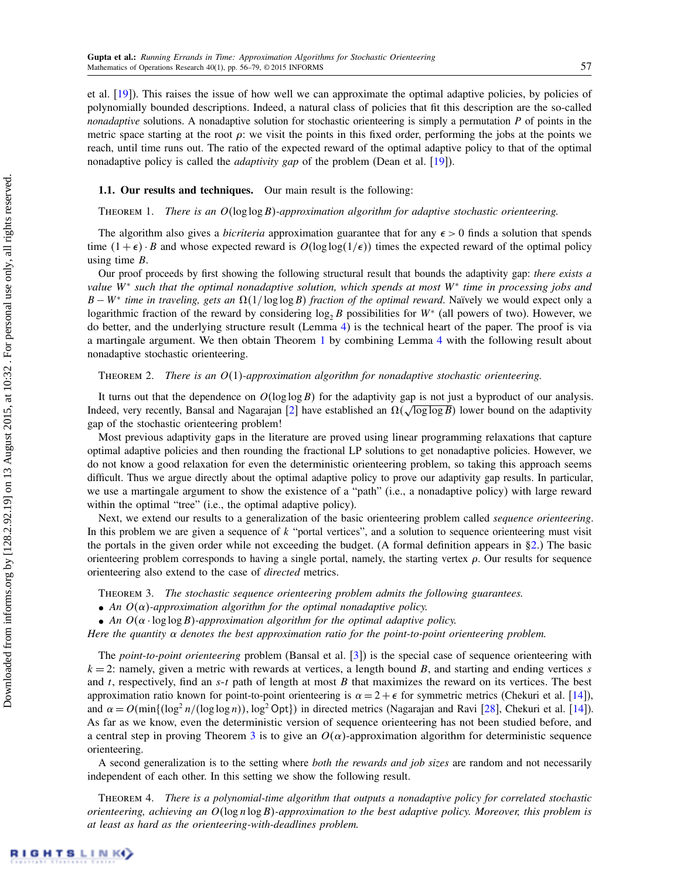et al. [\[19\]](#page-24-2)). This raises the issue of how well we can approximate the optimal adaptive policies, by policies of polynomially bounded descriptions. Indeed, a natural class of policies that fit this description are the so-called nonadaptive solutions. A nonadaptive solution for stochastic orienteering is simply a permutation  $P$  of points in the metric space starting at the root  $\rho$ : we visit the points in this fixed order, performing the jobs at the points we reach, until time runs out. The ratio of the expected reward of the optimal adaptive policy to that of the optimal nonadaptive policy is called the *adaptivity gap* of the problem (Dean et al. [\[19\]](#page-24-2)).

#### <span id="page-2-0"></span>1.1. Our results and techniques. Our main result is the following:

THEOREM 1. There is an  $O(\log \log B)$ -approximation algorithm for adaptive stochastic orienteering.

The algorithm also gives a *bicriteria* approximation guarantee that for any  $\epsilon > 0$  finds a solution that spends time  $(1 + \epsilon) \cdot B$  and whose expected reward is  $O(\log \log(1/\epsilon))$  times the expected reward of the optimal policy using time B.

Our proof proceeds by first showing the following structural result that bounds the adaptivity gap: there exists a value W<sup>\*</sup> such that the optimal nonadaptive solution, which spends at most W<sup>\*</sup> time in processing jobs and  $B - W^*$  time in traveling, gets an  $\Omega(1/\log\log B)$  fraction of the optimal reward. Naïvely we would expect only a logarithmic fraction of the reward by considering  $\log_2 B$  possibilities for  $W^*$  (all powers of two). However, we do better, and the underlying structure result (Lemma [4\)](#page-9-0) is the technical heart of the paper. The proof is via a martingale argument. We then obtain Theorem [1](#page-2-0) by combining Lemma [4](#page-9-0) with the following result about nonadaptive stochastic orienteering.

#### <span id="page-2-2"></span>THEOREM 2. There is an  $O(1)$ -approximation algorithm for nonadaptive stochastic orienteering.

It turns out that the dependence on  $O(\log \log B)$  for the adaptivity gap is not just a byproduct of our analysis. In turns out that the dependence on  $O(\log \log B)$  for the adaptivity gap is not just a byproduct or our analysis.<br>Indeed, very recently, Bansal and Nagarajan [\[2\]](#page-23-0) have established an  $\Omega(\sqrt{\log \log B})$  lower bound on the adaptivity gap of the stochastic orienteering problem!

Most previous adaptivity gaps in the literature are proved using linear programming relaxations that capture optimal adaptive policies and then rounding the fractional LP solutions to get nonadaptive policies. However, we do not know a good relaxation for even the deterministic orienteering problem, so taking this approach seems difficult. Thus we argue directly about the optimal adaptive policy to prove our adaptivity gap results. In particular, we use a martingale argument to show the existence of a "path" (i.e., a nonadaptive policy) with large reward within the optimal "tree" (i.e., the optimal adaptive policy).

Next, we extend our results to a generalization of the basic orienteering problem called *sequence orienteering*. In this problem we are given a sequence of  $k$  "portal vertices", and a solution to sequence orienteering must visit the portals in the given order while not exceeding the budget. (A formal definition appears in [§2.](#page-4-0)) The basic orienteering problem corresponds to having a single portal, namely, the starting vertex  $\rho$ . Our results for sequence orienteering also extend to the case of directed metrics.

<span id="page-2-1"></span>Theorem 3. The stochastic sequence orienteering problem admits the following guarantees.

• An  $O(\alpha)$ -approximation algorithm for the optimal nonadaptive policy.

• An  $O(\alpha \cdot \log \log B)$ -approximation algorithm for the optimal adaptive policy.

Here the quantity  $\alpha$  denotes the best approximation ratio for the point-to-point orienteering problem.

The point-to-point orienteering problem (Bansal et al. [\[3\]](#page-23-1)) is the special case of sequence orienteering with  $k = 2$ : namely, given a metric with rewards at vertices, a length bound B, and starting and ending vertices s and t, respectively, find an  $s-t$  path of length at most B that maximizes the reward on its vertices. The best approximation ratio known for point-to-point orienteering is  $\alpha = 2 + \epsilon$  for symmetric metrics (Chekuri et al. [\[14\]](#page-24-1)), and  $\alpha = O(\min\{(\log^2 n/(\log \log n)), \log^2 \text{Opt}\})$  in directed metrics (Nagarajan and Ravi [\[28\]](#page-24-4), Chekuri et al. [\[14\]](#page-24-1)). As far as we know, even the deterministic version of sequence orienteering has not been studied before, and a central step in proving Theorem [3](#page-2-1) is to give an  $O(\alpha)$ -approximation algorithm for deterministic sequence orienteering.

A second generalization is to the setting where *both the rewards and job sizes* are random and not necessarily independent of each other. In this setting we show the following result.

<span id="page-2-3"></span>Theorem 4. There is a polynomial-time algorithm that outputs a nonadaptive policy for correlated stochastic orienteering, achieving an  $O(\log n \log B)$ -approximation to the best adaptive policy. Moreover, this problem is at least as hard as the orienteering-with-deadlines problem.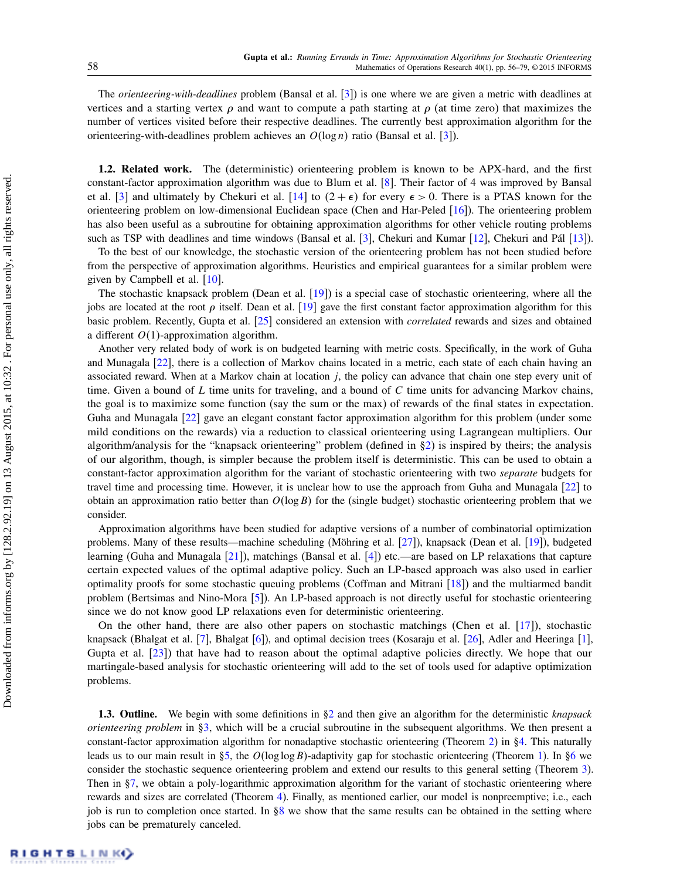The *orienteering-with-deadlines* problem (Bansal et al. [\[3\]](#page-23-1)) is one where we are given a metric with deadlines at vertices and a starting vertex  $\rho$  and want to compute a path starting at  $\rho$  (at time zero) that maximizes the number of vertices visited before their respective deadlines. The currently best approximation algorithm for the orienteering-with-deadlines problem achieves an  $O(\log n)$  ratio (Bansal et al. [\[3\]](#page-23-1)).

1.2. Related work. The (deterministic) orienteering problem is known to be APX-hard, and the first constant-factor approximation algorithm was due to Blum et al. [\[8\]](#page-24-0). Their factor of 4 was improved by Bansal et al. [\[3\]](#page-23-1) and ultimately by Chekuri et al. [\[14\]](#page-24-1) to  $(2 + \epsilon)$  for every  $\epsilon > 0$ . There is a PTAS known for the orienteering problem on low-dimensional Euclidean space (Chen and Har-Peled [\[16\]](#page-24-5)). The orienteering problem has also been useful as a subroutine for obtaining approximation algorithms for other vehicle routing problems such as TSP with deadlines and time windows (Bansal et al. [\[3\]](#page-23-1), Chekuri and Kumar [\[12\]](#page-24-6), Chekuri and Pál [\[13\]](#page-24-7)).

To the best of our knowledge, the stochastic version of the orienteering problem has not been studied before from the perspective of approximation algorithms. Heuristics and empirical guarantees for a similar problem were given by Campbell et al. [\[10\]](#page-24-8).

The stochastic knapsack problem (Dean et al. [\[19\]](#page-24-2)) is a special case of stochastic orienteering, where all the jobs are located at the root  $\rho$  itself. Dean et al. [\[19\]](#page-24-2) gave the first constant factor approximation algorithm for this basic problem. Recently, Gupta et al. [\[25\]](#page-24-9) considered an extension with correlated rewards and sizes and obtained a different  $O(1)$ -approximation algorithm.

Another very related body of work is on budgeted learning with metric costs. Specifically, in the work of Guha and Munagala [\[22\]](#page-24-10), there is a collection of Markov chains located in a metric, each state of each chain having an associated reward. When at a Markov chain at location j, the policy can advance that chain one step every unit of time. Given a bound of  $L$  time units for traveling, and a bound of  $C$  time units for advancing Markov chains, the goal is to maximize some function (say the sum or the max) of rewards of the final states in expectation. Guha and Munagala [\[22\]](#page-24-10) gave an elegant constant factor approximation algorithm for this problem (under some mild conditions on the rewards) via a reduction to classical orienteering using Lagrangean multipliers. Our algorithm/analysis for the "knapsack orienteering" problem (defined in [§2\)](#page-4-0) is inspired by theirs; the analysis of our algorithm, though, is simpler because the problem itself is deterministic. This can be used to obtain a constant-factor approximation algorithm for the variant of stochastic orienteering with two separate budgets for travel time and processing time. However, it is unclear how to use the approach from Guha and Munagala [\[22\]](#page-24-10) to obtain an approximation ratio better than  $O(\log B)$  for the (single budget) stochastic orienteering problem that we consider.

Approximation algorithms have been studied for adaptive versions of a number of combinatorial optimization problems. Many of these results—machine scheduling (Möhring et al. [\[27\]](#page-24-11)), knapsack (Dean et al. [\[19\]](#page-24-2)), budgeted learning (Guha and Munagala [\[21\]](#page-24-12)), matchings (Bansal et al. [\[4\]](#page-23-2)) etc.—are based on LP relaxations that capture certain expected values of the optimal adaptive policy. Such an LP-based approach was also used in earlier optimality proofs for some stochastic queuing problems (Coffman and Mitrani [\[18\]](#page-24-13)) and the multiarmed bandit problem (Bertsimas and Nino-Mora [\[5\]](#page-23-3)). An LP-based approach is not directly useful for stochastic orienteering since we do not know good LP relaxations even for deterministic orienteering.

On the other hand, there are also other papers on stochastic matchings (Chen et al. [\[17\]](#page-24-14)), stochastic knapsack (Bhalgat et al. [\[7\]](#page-24-15), Bhalgat [\[6\]](#page-24-3)), and optimal decision trees (Kosaraju et al. [\[26\]](#page-24-16), Adler and Heeringa [\[1\]](#page-23-4), Gupta et al. [\[23\]](#page-24-17)) that have had to reason about the optimal adaptive policies directly. We hope that our martingale-based analysis for stochastic orienteering will add to the set of tools used for adaptive optimization problems.

1.3. Outline. We begin with some definitions in [§2](#page-4-0) and then give an algorithm for the deterministic knapsack orienteering problem in [§3,](#page-4-1) which will be a crucial subroutine in the subsequent algorithms. We then present a constant-factor approximation algorithm for nonadaptive stochastic orienteering (Theorem [2\)](#page-2-2) in [§4.](#page-6-0) This naturally leads us to our main result in [§5,](#page-9-1) the  $O(\log \log B)$ -adaptivity gap for stochastic orienteering (Theorem [1\)](#page-2-0). In [§6](#page-13-0) we consider the stochastic sequence orienteering problem and extend our results to this general setting (Theorem [3\)](#page-2-1). Then in [§7,](#page-18-0) we obtain a poly-logarithmic approximation algorithm for the variant of stochastic orienteering where rewards and sizes are correlated (Theorem [4\)](#page-2-3). Finally, as mentioned earlier, our model is nonpreemptive; i.e., each job is run to completion once started. In [§8](#page-23-5) we show that the same results can be obtained in the setting where jobs can be prematurely canceled.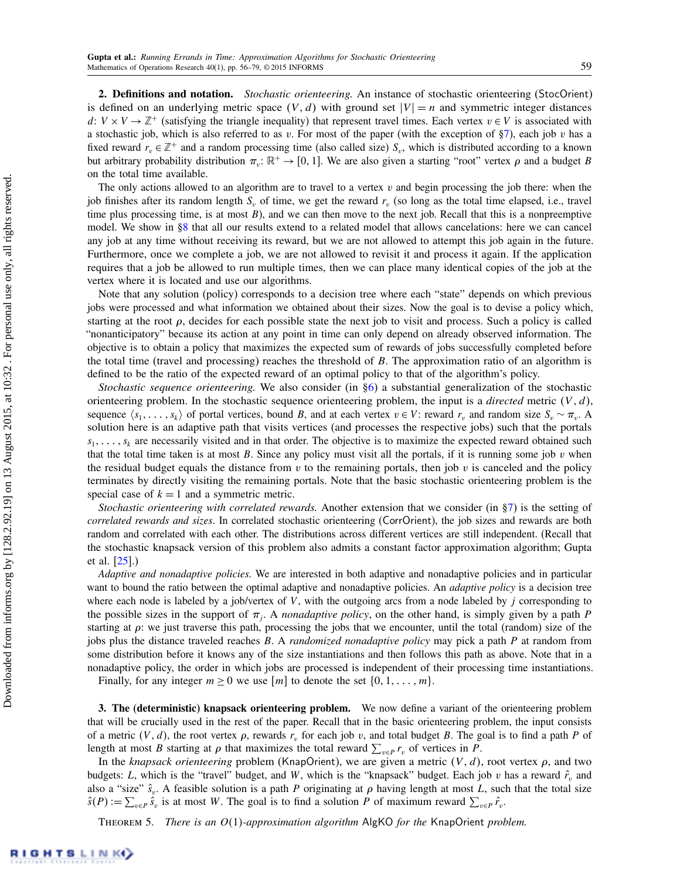<span id="page-4-0"></span>2. Definitions and notation. Stochastic orienteering. An instance of stochastic orienteering (StocOrient) is defined on an underlying metric space  $(V, d)$  with ground set  $|V| = n$  and symmetric integer distances d:  $V \times V \to \mathbb{Z}^+$  (satisfying the triangle inequality) that represent travel times. Each vertex  $v \in V$  is associated with a stochastic job, which is also referred to as v. For most of the paper (with the exception of  $\S7$ ), each job v has a fixed reward  $r_v \in \mathbb{Z}^+$  and a random processing time (also called size)  $S_v$ , which is distributed according to a known but arbitrary probability distribution  $\pi_{v}$ :  $\mathbb{R}^+ \to [0, 1]$ . We are also given a starting "root" vertex  $\rho$  and a budget B on the total time available.

The only actions allowed to an algorithm are to travel to a vertex  $v$  and begin processing the job there: when the job finishes after its random length  $S_v$  of time, we get the reward  $r_v$  (so long as the total time elapsed, i.e., travel time plus processing time, is at most  $B$ ), and we can then move to the next job. Recall that this is a nonpreemptive model. We show in [§8](#page-23-5) that all our results extend to a related model that allows cancelations: here we can cancel any job at any time without receiving its reward, but we are not allowed to attempt this job again in the future. Furthermore, once we complete a job, we are not allowed to revisit it and process it again. If the application requires that a job be allowed to run multiple times, then we can place many identical copies of the job at the vertex where it is located and use our algorithms.

Note that any solution (policy) corresponds to a decision tree where each "state" depends on which previous jobs were processed and what information we obtained about their sizes. Now the goal is to devise a policy which, starting at the root  $\rho$ , decides for each possible state the next job to visit and process. Such a policy is called "nonanticipatory" because its action at any point in time can only depend on already observed information. The objective is to obtain a policy that maximizes the expected sum of rewards of jobs successfully completed before the total time (travel and processing) reaches the threshold of B. The approximation ratio of an algorithm is defined to be the ratio of the expected reward of an optimal policy to that of the algorithm's policy.

Stochastic sequence orienteering. We also consider (in  $\S6$ ) a substantial generalization of the stochastic orienteering problem. In the stochastic sequence orienteering problem, the input is a *directed* metric  $(V, d)$ , sequence  $\langle s_1, \ldots, s_k \rangle$  of portal vertices, bound B, and at each vertex  $v \in V$ : reward  $r_v$  and random size  $S_v \sim \pi_v$ . A solution here is an adaptive path that visits vertices (and processes the respective jobs) such that the portals  $s_1, \ldots, s_k$  are necessarily visited and in that order. The objective is to maximize the expected reward obtained such that the total time taken is at most B. Since any policy must visit all the portals, if it is running some job  $v$  when the residual budget equals the distance from  $v$  to the remaining portals, then job  $v$  is canceled and the policy terminates by directly visiting the remaining portals. Note that the basic stochastic orienteering problem is the special case of  $k = 1$  and a symmetric metric.

Stochastic orienteering with correlated rewards. Another extension that we consider (in [§7\)](#page-18-0) is the setting of correlated rewards and sizes. In correlated stochastic orienteering (CorrOrient), the job sizes and rewards are both random and correlated with each other. The distributions across different vertices are still independent. (Recall that the stochastic knapsack version of this problem also admits a constant factor approximation algorithm; Gupta et al. [\[25\]](#page-24-9).)

Adaptive and nonadaptive policies. We are interested in both adaptive and nonadaptive policies and in particular want to bound the ratio between the optimal adaptive and nonadaptive policies. An *adaptive policy* is a decision tree where each node is labeled by a job/vertex of V, with the outgoing arcs from a node labeled by j corresponding to the possible sizes in the support of  $\pi_j$ . A nonadaptive policy, on the other hand, is simply given by a path P starting at  $\rho$ : we just traverse this path, processing the jobs that we encounter, until the total (random) size of the jobs plus the distance traveled reaches B. A randomized nonadaptive policy may pick a path P at random from some distribution before it knows any of the size instantiations and then follows this path as above. Note that in a nonadaptive policy, the order in which jobs are processed is independent of their processing time instantiations.

Finally, for any integer  $m \ge 0$  we use  $[m]$  to denote the set  $\{0, 1, \ldots, m\}$ .

<span id="page-4-1"></span>3. The (deterministic) knapsack orienteering problem. We now define a variant of the orienteering problem that will be crucially used in the rest of the paper. Recall that in the basic orienteering problem, the input consists of a metric  $(V, d)$ , the root vertex  $\rho$ , rewards  $r_v$  for each job v, and total budget B. The goal is to find a path P of length at most *B* starting at  $\rho$  that maximizes the total reward  $\sum_{v \in P} r_v$  of vertices in *P*.

In the knapsack orienteering problem (KnapOrient), we are given a metric  $(V, d)$ , root vertex  $\rho$ , and two budgets: L, which is the "travel" budget, and W, which is the "knapsack" budget. Each job v has a reward  $\hat{r}_v$  and also a "size"  $\hat{s}_v$ . A feasible solution is a path P originating at  $\rho$  having length at most L, such that the total size  $\hat{s}(P) := \sum_{v \in P} \hat{s}_v$  is at most W. The goal is to find a solution P of maximum reward  $\sum_{v \in P} \hat{r}_v$ .

<span id="page-4-2"></span>THEOREM 5. There is an  $O(1)$ -approximation algorithm AlgKO for the KnapOrient problem.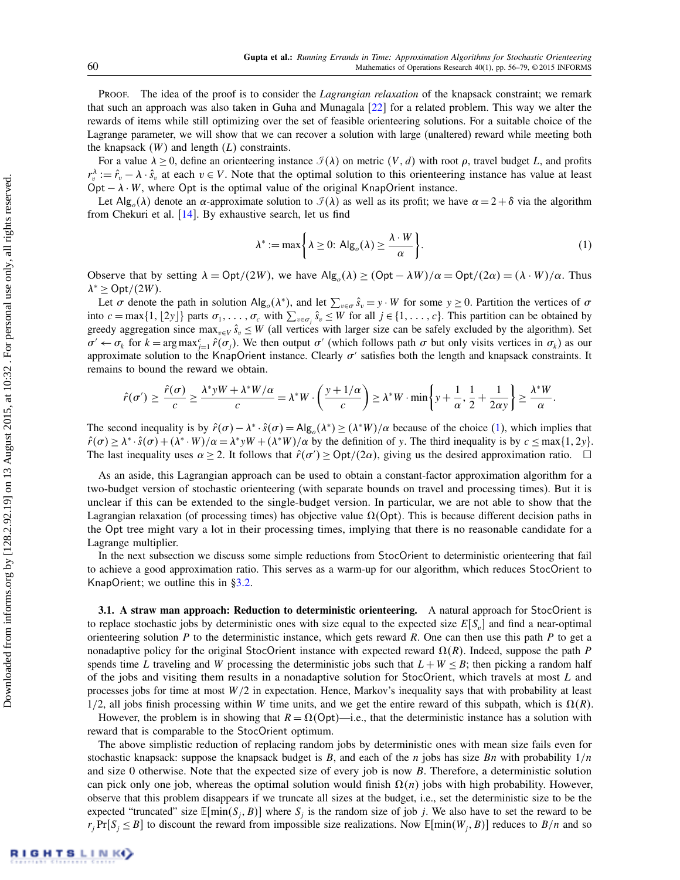Proof. The idea of the proof is to consider the *Lagrangian relaxation* of the knapsack constraint; we remark that such an approach was also taken in Guha and Munagala [\[22\]](#page-24-10) for a related problem. This way we alter the rewards of items while still optimizing over the set of feasible orienteering solutions. For a suitable choice of the Lagrange parameter, we will show that we can recover a solution with large (unaltered) reward while meeting both the knapsack  $(W)$  and length  $(L)$  constraints.

For a value  $\lambda \geq 0$ , define an orienteering instance  $\mathcal{I}(\lambda)$  on metric  $(V, d)$  with root  $\rho$ , travel budget L, and profits  $r_v^{\lambda} := \hat{r}_v - \lambda \cdot \hat{s}_v$  at each  $v \in V$ . Note that the optimal solution to this orienteering instance has value at least Opt  $-\lambda \cdot W$ , where Opt is the optimal value of the original KnapOrient instance.

Let Alg<sub>o</sub>( $\lambda$ ) denote an  $\alpha$ -approximate solution to  $\mathcal{I}(\lambda)$  as well as its profit; we have  $\alpha = 2 + \delta$  via the algorithm from Chekuri et al. [\[14\]](#page-24-1). By exhaustive search, let us find

<span id="page-5-0"></span>
$$
\lambda^* := \max\left\{\lambda \ge 0: \, \text{Alg}_o(\lambda) \ge \frac{\lambda \cdot W}{\alpha}\right\}.
$$
 (1)

.

Observe that by setting  $\lambda = \text{Opt}/(2W)$ , we have  $\text{Alg}_{\rho}(\lambda) \geq (\text{Opt} - \lambda W)/\alpha = \text{Opt}/(2\alpha) = (\lambda \cdot W)/\alpha$ . Thus  $\lambda^* \geq \text{Opt}/(2W)$ .

Let  $\sigma$  denote the path in solution Alg<sub>o</sub>( $\lambda^*$ ), and let  $\sum_{v \in \sigma} \hat{s}_v = y \cdot W$  for some  $y \ge 0$ . Partition the vertices of  $\sigma$ into  $c = \max\{1, \lfloor 2y \rfloor\}$  parts  $\sigma_1, \ldots, \sigma_c$  with  $\sum_{v \in \sigma_j} \hat{s}_v \leq W$  for all  $j \in \{1, \ldots, c\}$ . This partition can be obtained by greedy aggregation since max<sub>v∈V</sub>  $\hat{s}_v \leq W$  (all vertices with larger size can be safely excluded by the algorithm). Set  $\sigma' \leftarrow \sigma_k$  for  $k = \arg \max_{j=1}^c \hat{r}(\sigma_j)$ . We then output  $\sigma'$  (which follows path  $\sigma$  but only visits vertices in  $\sigma_k$ ) as our approximate solution to the KnapOrient instance. Clearly  $\sigma'$  satisfies both the length and knapsack constraints. It remains to bound the reward we obtain.

$$
\hat{r}(\sigma') \ge \frac{\hat{r}(\sigma)}{c} \ge \frac{\lambda^* y W + \lambda^* W/\alpha}{c} = \lambda^* W \cdot \left(\frac{y + 1/\alpha}{c}\right) \ge \lambda^* W \cdot \min\left\{y + \frac{1}{\alpha}, \frac{1}{2} + \frac{1}{2\alpha y}\right\} \ge \frac{\lambda^* W}{\alpha}
$$

The second inequality is by  $\hat{r}(\sigma) - \lambda^* \cdot \hat{s}(\sigma) = \text{Alg}_{\sigma}(\lambda^*) \ge (\lambda^* W)/\alpha$  because of the choice [\(1\)](#page-5-0), which implies that  $\hat{r}(\sigma) \geq \lambda^* \cdot \hat{s}(\sigma) + (\lambda^* \cdot W)/\alpha = \lambda^* yW + (\lambda^* W)/\alpha$  by the definition of y. The third inequality is by  $c \leq \max\{1, 2y\}$ . The last inequality uses  $\alpha \ge 2$ . It follows that  $\hat{r}(\sigma') \ge \text{Opt}/(2\alpha)$ , giving us the desired approximation ratio.  $\square$ 

As an aside, this Lagrangian approach can be used to obtain a constant-factor approximation algorithm for a two-budget version of stochastic orienteering (with separate bounds on travel and processing times). But it is unclear if this can be extended to the single-budget version. In particular, we are not able to show that the Lagrangian relaxation (of processing times) has objective value  $\Omega(Opt)$ . This is because different decision paths in the Opt tree might vary a lot in their processing times, implying that there is no reasonable candidate for a Lagrange multiplier.

In the next subsection we discuss some simple reductions from StocOrient to deterministic orienteering that fail to achieve a good approximation ratio. This serves as a warm-up for our algorithm, which reduces StocOrient to KnapOrient; we outline this in [§3.2.](#page-6-1)

3.1. A straw man approach: Reduction to deterministic orienteering. A natural approach for StocOrient is to replace stochastic jobs by deterministic ones with size equal to the expected size  $E[S_v]$  and find a near-optimal orienteering solution  $P$  to the deterministic instance, which gets reward  $R$ . One can then use this path  $P$  to get a nonadaptive policy for the original StocOrient instance with expected reward  $\Omega(R)$ . Indeed, suppose the path P spends time L traveling and W processing the deterministic jobs such that  $L + W \leq B$ ; then picking a random half of the jobs and visiting them results in a nonadaptive solution for StocOrient, which travels at most L and processes jobs for time at most  $W/2$  in expectation. Hence, Markov's inequality says that with probability at least 1/2, all jobs finish processing within W time units, and we get the entire reward of this subpath, which is  $\Omega(R)$ .

However, the problem is in showing that  $R = \Omega(Opt)$ —i.e., that the deterministic instance has a solution with reward that is comparable to the StocOrient optimum.

The above simplistic reduction of replacing random jobs by deterministic ones with mean size fails even for stochastic knapsack: suppose the knapsack budget is B, and each of the n jobs has size Bn with probability  $1/n$ and size 0 otherwise. Note that the expected size of every job is now B. Therefore, a deterministic solution can pick only one job, whereas the optimal solution would finish  $\Omega(n)$  jobs with high probability. However, observe that this problem disappears if we truncate all sizes at the budget, i.e., set the deterministic size to be the expected "truncated" size  $\mathbb{E}[\min(S_j, B)]$  where  $S_j$  is the random size of job j. We also have to set the reward to be  $r_j$  Pr[ $S_j \leq B$ ] to discount the reward from impossible size realizations. Now  $\mathbb{E}[\min(W_j, B)]$  reduces to  $B/n$  and so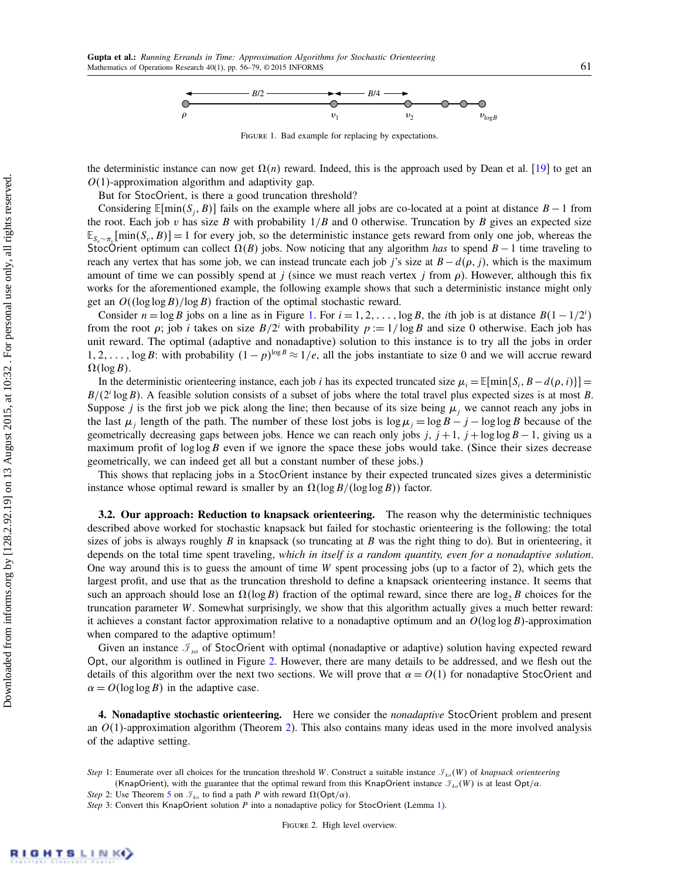

<span id="page-6-2"></span>FIGURE 1. Bad example for replacing by expectations.

the deterministic instance can now get  $\Omega(n)$  reward. Indeed, this is the approach used by Dean et al. [\[19\]](#page-24-2) to get an  $O(1)$ -approximation algorithm and adaptivity gap.

But for StocOrient, is there a good truncation threshold?

Considering  $\mathbb{E}[\min(S_j, B)]$  fails on the example where all jobs are co-located at a point at distance  $B - 1$  from the root. Each job v has size B with probability  $1/B$  and 0 otherwise. Truncation by B gives an expected size  $\mathbb{E}_{S_v \sim \pi_v}[\min(S_v, B)] = 1$  for every job, so the deterministic instance gets reward from only one job, whereas the StocOrient optimum can collect  $\Omega(B)$  jobs. Now noticing that any algorithm has to spend B − 1 time traveling to reach any vertex that has some job, we can instead truncate each job j's size at  $B - d(\rho, j)$ , which is the maximum amount of time we can possibly spend at j (since we must reach vertex j from  $\rho$ ). However, although this fix works for the aforementioned example, the following example shows that such a deterministic instance might only get an  $O((\log \log B)/\log B)$  fraction of the optimal stochastic reward.

Consider  $n = \log B$  jobs on a line as in Figure [1.](#page-6-2) For  $i = 1, 2, \ldots$ ,  $\log B$ , the *i*th job is at distance  $B(1 - 1/2^{i})$ from the root  $\rho$ ; job *i* takes on size  $B/2^i$  with probability  $p := 1/\log B$  and size 0 otherwise. Each job has unit reward. The optimal (adaptive and nonadaptive) solution to this instance is to try all the jobs in order 1, 2, ..., log B: with probability  $(1-p)^{\log B} \approx 1/e$ , all the jobs instantiate to size 0 and we will accrue reward  $\Omega(\log B)$ .

In the deterministic orienteering instance, each job *i* has its expected truncated size  $\mu_i = \mathbb{E}[\min\{S_i, B - d(\rho, i)\}] =$  $B/(2<sup>i</sup> \log B)$ . A feasible solution consists of a subset of jobs where the total travel plus expected sizes is at most B. Suppose j is the first job we pick along the line; then because of its size being  $\mu_i$  we cannot reach any jobs in the last  $\mu_j$  length of the path. The number of these lost jobs is  $\log \mu_j = \log B - j - \log \log B$  because of the geometrically decreasing gaps between jobs. Hence we can reach only jobs j, j + 1, j + log log  $B - 1$ , giving us a maximum profit of  $\log \log B$  even if we ignore the space these jobs would take. (Since their sizes decrease geometrically, we can indeed get all but a constant number of these jobs.)

This shows that replacing jobs in a StocOrient instance by their expected truncated sizes gives a deterministic instance whose optimal reward is smaller by an  $\Omega(\log B/(\log \log B))$  factor.

<span id="page-6-1"></span>3.2. Our approach: Reduction to knapsack orienteering. The reason why the deterministic techniques described above worked for stochastic knapsack but failed for stochastic orienteering is the following: the total sizes of jobs is always roughly  $B$  in knapsack (so truncating at  $B$  was the right thing to do). But in orienteering, it depends on the total time spent traveling, which in itself is a random quantity, even for a nonadaptive solution. One way around this is to guess the amount of time W spent processing jobs (up to a factor of 2), which gets the largest profit, and use that as the truncation threshold to define a knapsack orienteering instance. It seems that such an approach should lose an  $\Omega(\log B)$  fraction of the optimal reward, since there are log<sub>2</sub> B choices for the truncation parameter W. Somewhat surprisingly, we show that this algorithm actually gives a much better reward: it achieves a constant factor approximation relative to a nonadaptive optimum and an  $O(\log \log B)$ -approximation when compared to the adaptive optimum!

Given an instance  $\mathcal{I}_{so}$  of StocOrient with optimal (nonadaptive or adaptive) solution having expected reward Opt, our algorithm is outlined in Figure [2.](#page-6-3) However, there are many details to be addressed, and we flesh out the details of this algorithm over the next two sections. We will prove that  $\alpha = O(1)$  for nonadaptive StocOrient and  $\alpha = O(\log \log B)$  in the adaptive case.

<span id="page-6-0"></span>4. Nonadaptive stochastic orienteering. Here we consider the *nonadaptive* StocOrient problem and present an  $O(1)$ -approximation algorithm (Theorem [2\)](#page-2-2). This also contains many ideas used in the more involved analysis of the adaptive setting.

Step 1: Enumerate over all choices for the truncation threshold W. Construct a suitable instance  $\mathcal{F}_{k_0}(W)$  of knapsack orienteering

<span id="page-6-3"></span><sup>(</sup>KnapOrient), with the guarantee that the optimal reward from this KnapOrient instance  $\mathcal{F}_{k_0}(W)$  is at least Opt/ $\alpha$ .

Step 2: Use Theorem [5](#page-4-2) on  $\mathcal{I}_{k_0}$  to find a path P with reward  $\Omega(\mathrm{Opt}/\alpha)$ .

Step 3: Convert this KnapOrient solution P into a nonadaptive policy for StocOrient (Lemma [1\)](#page-7-0).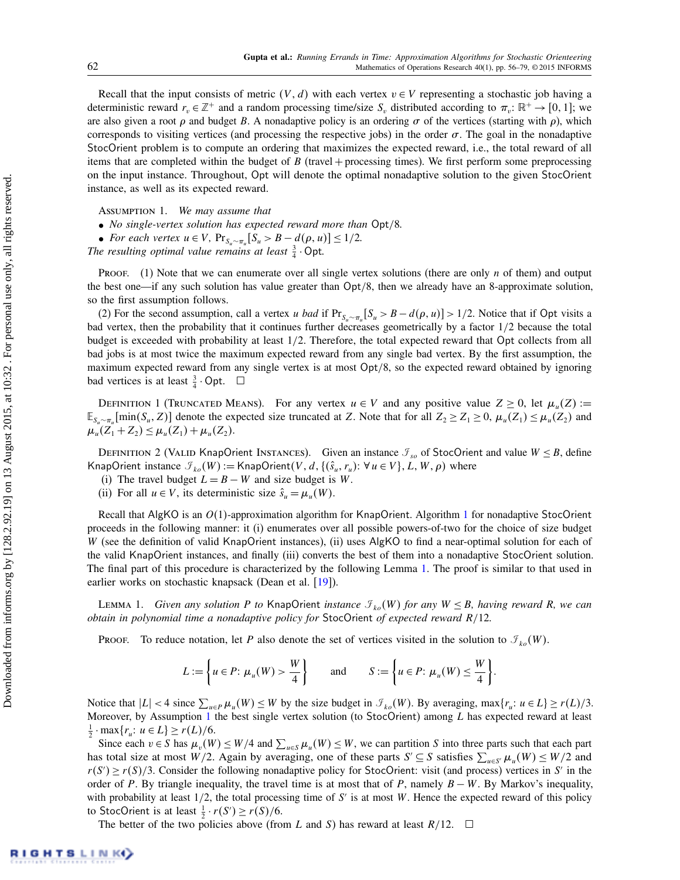Recall that the input consists of metric  $(V, d)$  with each vertex  $v \in V$  representing a stochastic job having a deterministic reward  $r_v \in \mathbb{Z}^+$  and a random processing time/size  $S_v$  distributed according to  $\pi_v : \mathbb{R}^+ \to [0, 1]$ ; we are also given a root  $\rho$  and budget B. A nonadaptive policy is an ordering  $\sigma$  of the vertices (starting with  $\rho$ ), which corresponds to visiting vertices (and processing the respective jobs) in the order  $\sigma$ . The goal in the nonadaptive StocOrient problem is to compute an ordering that maximizes the expected reward, i.e., the total reward of all items that are completed within the budget of  $B$  (travel + processing times). We first perform some preprocessing on the input instance. Throughout, Opt will denote the optimal nonadaptive solution to the given StocOrient instance, as well as its expected reward.

<span id="page-7-1"></span>Assumption 1. We may assume that

- No single-vertex solution has expected reward more than Opt/8.
- For each vertex  $u \in V$ ,  $Pr_{S_u \sim \pi_u}[S_u > B d(\rho, u)] \leq 1/2$ .

The resulting optimal value remains at least  $\frac{3}{4} \cdot \text{Opt.}$ 

PROOF. (1) Note that we can enumerate over all single vertex solutions (there are only  $n$  of them) and output the best one—if any such solution has value greater than Opt/8, then we already have an 8-approximate solution, so the first assumption follows.

(2) For the second assumption, call a vertex u bad if  $Pr_{S_u \sim \pi_u}[S_u > B - d(\rho, u)] > 1/2$ . Notice that if Opt visits a bad vertex, then the probability that it continues further decreases geometrically by a factor 1/2 because the total budget is exceeded with probability at least 1/2. Therefore, the total expected reward that Opt collects from all bad jobs is at most twice the maximum expected reward from any single bad vertex. By the first assumption, the maximum expected reward from any single vertex is at most Opt/8, so the expected reward obtained by ignoring bad vertices is at least  $\frac{3}{4} \cdot \text{Opt.}$   $\Box$ 

<span id="page-7-2"></span>DEFINITION 1 (TRUNCATED MEANS). For any vertex  $u \in V$  and any positive value  $Z \ge 0$ , let  $\mu_u(Z) :=$  $\mathbb{E}_{S_u \sim \pi_u}[\min(S_u, Z)]$  denote the expected size truncated at Z. Note that for all  $Z_2 \ge Z_1 \ge 0$ ,  $\mu_u(Z_1) \le \mu_u(Z_2)$  and  $\mu_u(Z_1+Z_2) \leq \mu_u(Z_1)+\mu_u(Z_2).$ 

<span id="page-7-3"></span>DEFINITION 2 (VALID KnapOrient INSTANCES). Given an instance  $\mathcal{I}_{so}$  of StocOrient and value  $W \leq B$ , define KnapOrient instance  $\mathcal{F}_{ko}(W) := \text{KnapOrient}(V, d, \{(\hat{s}_u, r_u): \forall u \in V\}, L, W, \rho)$  where

- (i) The travel budget  $L = B W$  and size budget is W.
- (ii) For all  $u \in V$ , its deterministic size  $\hat{s}_u = \mu_u(W)$ .

Recall that AlgKO is an  $O(1)$  $O(1)$  $O(1)$ -approximation algorithm for KnapOrient. Algorithm 1 for nonadaptive StocOrient proceeds in the following manner: it (i) enumerates over all possible powers-of-two for the choice of size budget W (see the definition of valid KnapOrient instances), (ii) uses AlgKO to find a near-optimal solution for each of the valid KnapOrient instances, and finally (iii) converts the best of them into a nonadaptive StocOrient solution. The final part of this procedure is characterized by the following Lemma [1.](#page-7-0) The proof is similar to that used in earlier works on stochastic knapsack (Dean et al. [\[19\]](#page-24-2)).

<span id="page-7-0"></span>LEMMA 1. Given any solution P to KnapOrient instance  $\mathcal{F}_{k0}(W)$  for any  $W \leq B$ , having reward R, we can obtain in polynomial time a nonadaptive policy for StocOrient of expected reward  $R/12$ .

PROOF. To reduce notation, let P also denote the set of vertices visited in the solution to  $\mathcal{F}_{k_0}(W)$ .

$$
L := \left\{ u \in P : \mu_u(W) > \frac{W}{4} \right\} \quad \text{and} \quad S := \left\{ u \in P : \mu_u(W) \le \frac{W}{4} \right\}.
$$

Notice that  $|L| < 4$  since  $\sum_{u \in P} \mu_u(W) \leq W$  by the size budget in  $\mathcal{I}_{ko}(W)$ . By averaging, max $\{r_u : u \in L\} \geq r(L)/3$ . Moreover, by Assumption [1](#page-7-1) the best single vertex solution (to StocOrient) among L has expected reward at least  $\frac{1}{2}$ ·max{ $r_u$ :  $u \in L$ }  $\ge r(L)/6$ .

Since each  $v \in S$  has  $\mu_v(W) \leq W/4$  and  $\sum_{u \in S} \mu_u(W) \leq W$ , we can partition S into three parts such that each part has total size at most W/2. Again by averaging, one of these parts  $S' \subseteq S$  satisfies  $\sum_{u \in S'} \mu_u(W) \leq W/2$  and  $r(S') \ge r(S)/3$ . Consider the following nonadaptive policy for StocOrient: visit (and process) vertices in S' in the order of P. By triangle inequality, the travel time is at most that of P, namely  $B - W$ . By Markov's inequality, with probability at least  $1/2$ , the total processing time of  $S'$  is at most W. Hence the expected reward of this policy to StocOrient is at least  $\frac{1}{2} \cdot r(S') \ge r(S)/6$ .

The better of the two policies above (from L and S) has reward at least  $R/12$ .  $\Box$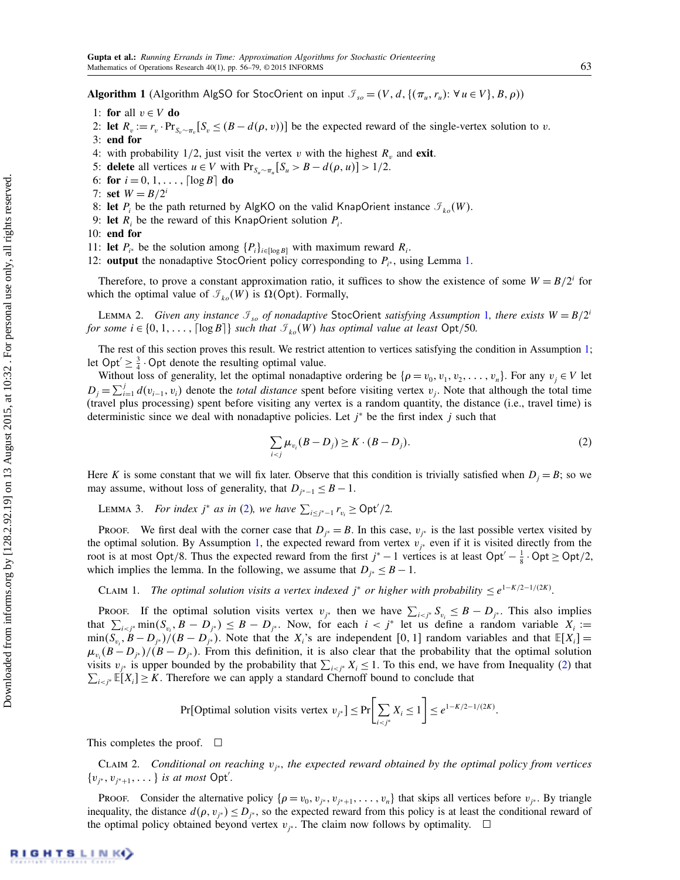<span id="page-8-0"></span>Algorithm 1 (Algorithm AlgSO for StocOrient on input  $\mathcal{F}_{so} = (V, d, \{(\pi_u, r_u): \forall u \in V\}, B, \rho)$ )

- 1: for all  $v \in V$  do
- 2: let  $R_v := r_v \cdot Pr_{S_v \sim \pi_v}[S_v \le (B d(\rho, v))]$  be the expected reward of the single-vertex solution to v.
- 3: end for
- 4: with probability  $1/2$ , just visit the vertex v with the highest  $R_v$  and **exit**.
- 5: **delete** all vertices  $u \in V$  with  $\Pr_{S_u \sim \pi_u}[S_u > B d(\rho, u)] > 1/2$ .
- 6: for  $i = 0, 1, \ldots$ ,  $\lceil \log B \rceil$  do
- 7: set  $W = B/2^{i}$
- 8: let  $P_i$  be the path returned by AlgKO on the valid KnapOrient instance  $\mathcal{I}_{k0}(W)$ .
- 9: **let**  $R_i$  be the reward of this KnapOrient solution  $P_i$ .
- 10: end for
- 11: **let**  $P_{i^*}$  be the solution among  $\{P_i\}_{i \in \lceil \log B \rceil}$  with maximum reward  $R_i$ .
- 12: **output** the nonadaptive StocOrient policy corresponding to  $P_{i*}$ , using Lemma [1.](#page-7-0)

Therefore, to prove a constant approximation ratio, it suffices to show the existence of some  $W = B/2<sup>i</sup>$  for which the optimal value of  $\mathcal{F}_{k_0}(W)$  is  $\Omega(\text{Opt})$ . Formally,

<span id="page-8-2"></span>LEMMA 2. Given any instance  $\mathcal{F}_{so}$  of nonadaptive StocOrient satisfying Assumption [1,](#page-7-1) there exists  $W = B/2^{i}$ for some  $i \in \{0, 1, \ldots, \lceil \log B \rceil\}$  such that  $\mathcal{F}_{ko}(W)$  has optimal value at least Opt/50.

The rest of this section proves this result. We restrict attention to vertices satisfying the condition in Assumption [1;](#page-7-1) let Opt $\geq \frac{3}{4} \cdot$ Opt denote the resulting optimal value.

Without loss of generality, let the optimal nonadaptive ordering be  $\{\rho = v_0, v_1, v_2, \dots, v_n\}$ . For any  $v_j \in V$  let  $D_j = \sum_{i=1}^j d(v_{i-1}, v_i)$  denote the *total distance* spent before visiting vertex  $v_j$ . Note that although the total time (travel plus processing) spent before visiting any vertex is a random quantity, the distance (i.e., travel time) is deterministic since we deal with nonadaptive policies. Let  $j^*$  be the first index  $j$  such that

<span id="page-8-1"></span>
$$
\sum_{i < j} \mu_{v_i}(B - D_j) \ge K \cdot (B - D_j). \tag{2}
$$

Here K is some constant that we will fix later. Observe that this condition is trivially satisfied when  $D_i = B$ ; so we may assume, without loss of generality, that  $D_{j^*-1} \leq B-1$ .

LEMMA 3. For index  $j^*$  as in [\(2\)](#page-8-1), we have  $\sum_{i \leq j^*-1} r_{v_i} \geq \text{Opt}'/2$ .

PROOF. We first deal with the corner case that  $D_{j^*} = B$ . In this case,  $v_{j^*}$  is the last possible vertex visited by the optimal solution. By Assumption [1,](#page-7-1) the expected reward from vertex  $v_{j*}$  even if it is visited directly from the root is at most Opt/8. Thus the expected reward from the first  $j^*-1$  vertices is at least Opt $-\frac{1}{8} \cdot Opt \geq Opt/2$ , which implies the lemma. In the following, we assume that  $D_{j^*} \leq B - 1$ .

<span id="page-8-4"></span>CLAIM 1. The optimal solution visits a vertex indexed j<sup>\*</sup> or higher with probability  $\leq e^{1-K/2-1/(2K)}$ .

Proof. If the optimal solution visits vertex  $v_{j*}$  then we have  $\sum_{i < j^*} S_{v_i} \leq B - D_{j^*}$ . This also implies that  $\sum_{i < j^*} \min(S_{v_i}, B - D_{j^*}) \leq B - D_{j^*}$ . Now, for each  $i < j^*$  let us define a random variable  $X_i :=$  $\min(S_{v_i}, B - D_{j^*})/(B - D_{j^*})$ . Note that the  $X_i$ 's are independent [0, 1] random variables and that  $\mathbb{E}[X_i] =$  $\mu_{v_i}(B - D_{j^*})/(B - D_{j^*})$ . From this definition, it is also clear that the probability that the optimal solution visits  $v_{j^*}$  is upper bounded by the probability that  $\sum_{i \le j^*} X_i \le 1$ . To this end, we have from Inequality [\(2\)](#page-8-1) that  $\sum_{i \leq j^*} \mathbb{E}[X_i] \geq K$ . Therefore we can apply a standard Chernoff bound to conclude that

$$
\Pr[\text{Optimal solution visits vertex } v_{j^*}] \le \Pr\bigg[\sum_{i < j^*} X_i \le 1\bigg] \le e^{1 - K/2 - 1/(2K)}.
$$

This completes the proof.  $\square$ 

<span id="page-8-3"></span>CLAIM 2. Conditional on reaching  $v_{j*}$ , the expected reward obtained by the optimal policy from vertices  $\{v_{j^*}, v_{j^*+1}, \dots\}$  is at most Opt'.

**PROOF.** Consider the alternative policy  $\{p = v_0, v_{j*}, v_{j*+1}, \ldots, v_n\}$  that skips all vertices before  $v_{j*}$ . By triangle inequality, the distance  $d(\rho, v_{j^*}) \le D_{j^*}$ , so the expected reward from this policy is at least the conditional reward of the optimal policy obtained beyond vertex  $v_{j*}$ . The claim now follows by optimality.  $\Box$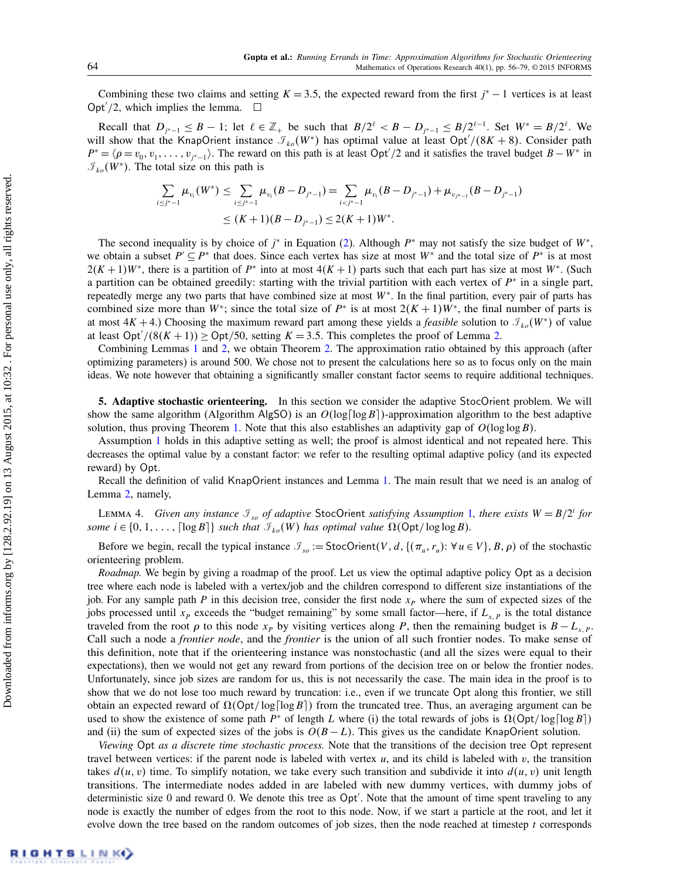Combining these two claims and setting  $K = 3.5$ , the expected reward from the first  $j^* - 1$  vertices is at least Opt'/2, which implies the lemma.  $\Box$ 

Recall that  $D_{j^*-1} \leq B-1$ ; let  $\ell \in \mathbb{Z}_+$  be such that  $B/2^{\ell} < B - D_{j^*-1} \leq B/2^{\ell-1}$ . Set  $W^* = B/2^{\ell}$ . We will show that the KnapOrient instance  $\mathcal{F}_{k0}(W^*)$  has optimal value at least Opt'/(8K + 8). Consider path  $P^* = \langle \rho = v_0, v_1, \dots, v_{j^*-1} \rangle$ . The reward on this path is at least Opt'/2 and it satisfies the travel budget  $B - W^*$  in  $\mathcal{F}_{k0}(W^*)$ . The total size on this path is

$$
\sum_{i \leq j^*-1} \mu_{v_i}(W^*) \leq \sum_{i \leq j^*-1} \mu_{v_i}(B - D_{j^*-1}) = \sum_{i < j^*-1} \mu_{v_i}(B - D_{j^*-1}) + \mu_{v_{j^*-1}}(B - D_{j^*-1})
$$
\n
$$
\leq (K+1)(B - D_{j^*-1}) \leq 2(K+1)W^*.
$$

The second inequality is by choice of  $j^*$  in Equation [\(2\)](#page-8-1). Although  $P^*$  may not satisfy the size budget of  $W^*$ , we obtain a subset  $P' \subseteq P^*$  that does. Since each vertex has size at most  $W^*$  and the total size of  $P^*$  is at most  $2(K+1)W^*$ , there is a partition of P<sup>\*</sup> into at most  $4(K+1)$  parts such that each part has size at most W<sup>\*</sup>. (Such a partition can be obtained greedily: starting with the trivial partition with each vertex of  $P^*$  in a single part, repeatedly merge any two parts that have combined size at most  $W^*$ . In the final partition, every pair of parts has combined size more than  $W^*$ ; since the total size of  $P^*$  is at most  $2(K+1)W^*$ , the final number of parts is at most  $4K + 4$ .) Choosing the maximum reward part among these yields a *feasible* solution to  $\mathcal{I}_{ko}(W^*)$  of value at least  $Opt/(8(K + 1)) \geq Opt/50$ , setting  $K = 3.5$ . This completes the proof of Lemma [2.](#page-8-2)

Combining Lemmas [1](#page-7-0) and [2,](#page-8-2) we obtain Theorem [2.](#page-2-2) The approximation ratio obtained by this approach (after optimizing parameters) is around 500. We chose not to present the calculations here so as to focus only on the main ideas. We note however that obtaining a significantly smaller constant factor seems to require additional techniques.

<span id="page-9-1"></span>5. Adaptive stochastic orienteering. In this section we consider the adaptive StocOrient problem. We will show the same algorithm (Algorithm AlgSO) is an  $O(\log \log B)$ -approximation algorithm to the best adaptive solution, thus proving Theorem [1.](#page-2-0) Note that this also establishes an adaptivity gap of  $O(\log \log B)$ .

Assumption [1](#page-7-1) holds in this adaptive setting as well; the proof is almost identical and not repeated here. This decreases the optimal value by a constant factor: we refer to the resulting optimal adaptive policy (and its expected reward) by Opt.

Recall the definition of valid KnapOrient instances and Lemma [1.](#page-7-0) The main result that we need is an analog of Lemma [2,](#page-8-2) namely,

<span id="page-9-0"></span>LEMMA 4. Given any instance  $\mathcal{F}_{so}$  of adaptive StocOrient satisfying Assumption [1,](#page-7-1) there exists  $W = B/2^i$  for some  $i \in \{0, 1, \ldots, \lceil \log B \rceil\}$  such that  $\mathcal{F}_{ko}(W)$  has optimal value  $\Omega(\text{Opt}/\log \log B)$ .

Before we begin, recall the typical instance  $\mathcal{I}_{so} := \text{StocOrient}(V, d, \{(\pi_u, r_u): \forall u \in V\}, B, \rho)$  of the stochastic orienteering problem.

Roadmap. We begin by giving a roadmap of the proof. Let us view the optimal adaptive policy Opt as a decision tree where each node is labeled with a vertex/job and the children correspond to different size instantiations of the job. For any sample path P in this decision tree, consider the first node  $x<sub>P</sub>$  where the sum of expected sizes of the jobs processed until  $x_P$  exceeds the "budget remaining" by some small factor—here, if  $L_{x,P}$  is the total distance traveled from the root  $\rho$  to this node  $x_P$  by visiting vertices along P, then the remaining budget is  $B - L_{x,P}$ . Call such a node a *frontier node*, and the *frontier* is the union of all such frontier nodes. To make sense of this definition, note that if the orienteering instance was nonstochastic (and all the sizes were equal to their expectations), then we would not get any reward from portions of the decision tree on or below the frontier nodes. Unfortunately, since job sizes are random for us, this is not necessarily the case. The main idea in the proof is to show that we do not lose too much reward by truncation: i.e., even if we truncate Opt along this frontier, we still obtain an expected reward of  $\Omega$ (Opt/ $\log$ [ $\log B$ ]) from the truncated tree. Thus, an averaging argument can be used to show the existence of some path  $P^*$  of length L where (i) the total rewards of jobs is  $\Omega(\text{Opt}/\log \lceil \log B \rceil)$ and (ii) the sum of expected sizes of the jobs is  $O(B - L)$ . This gives us the candidate KnapOrient solution.

Viewing Opt as a discrete time stochastic process. Note that the transitions of the decision tree Opt represent travel between vertices: if the parent node is labeled with vertex  $u$ , and its child is labeled with v, the transition takes  $d(u, v)$  time. To simplify notation, we take every such transition and subdivide it into  $d(u, v)$  unit length transitions. The intermediate nodes added in are labeled with new dummy vertices, with dummy jobs of deterministic size 0 and reward 0. We denote this tree as Opt'. Note that the amount of time spent traveling to any node is exactly the number of edges from the root to this node. Now, if we start a particle at the root, and let it evolve down the tree based on the random outcomes of job sizes, then the node reached at timestep t corresponds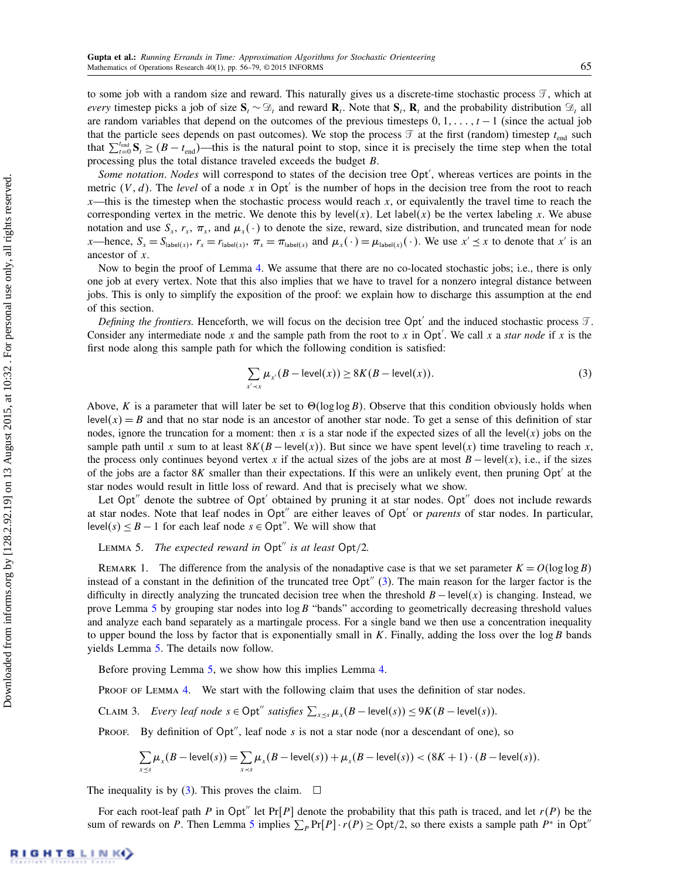to some job with a random size and reward. This naturally gives us a discrete-time stochastic process  $\mathcal{T}$ , which at every timestep picks a job of size  $S_t \sim \mathcal{D}_t$  and reward  $\mathbf{R}_t$ . Note that  $S_t$ ,  $\mathbf{R}_t$  and the probability distribution  $\mathcal{D}_t$  all are random variables that depend on the outcomes of the previous timesteps  $0, 1, \ldots, t - 1$  (since the actual job that the particle sees depends on past outcomes). We stop the process  $\mathcal T$  at the first (random) timestep  $t_{end}$  such that  $\sum_{t=0}^{t_{\text{end}}}$   $S_t \ge (B - t_{\text{end}})$ —this is the natural point to stop, since it is precisely the time step when the total processing plus the total distance traveled exceeds the budget B.

Some notation. Nodes will correspond to states of the decision tree Opt', whereas vertices are points in the metric  $(V, d)$ . The level of a node x in Opt' is the number of hops in the decision tree from the root to reach  $x$ —this is the timestep when the stochastic process would reach x, or equivalently the travel time to reach the corresponding vertex in the metric. We denote this by level(x). Let label(x) be the vertex labeling x. We abuse notation and use  $S_x$ ,  $r_x$ ,  $\pi_x$ , and  $\mu_x(\cdot)$  to denote the size, reward, size distribution, and truncated mean for node x—hence,  $S_x = S_{\text{label}(x)}$ ,  $r_x = r_{\text{label}(x)}$ ,  $\pi_x = \pi_{\text{label}(x)}$  and  $\mu_x(\cdot) = \mu_{\text{label}(x)}(\cdot)$ . We use  $x' \leq x$  to denote that  $x'$  is an ancestor of x.

Now to begin the proof of Lemma [4.](#page-9-0) We assume that there are no co-located stochastic jobs; i.e., there is only one job at every vertex. Note that this also implies that we have to travel for a nonzero integral distance between jobs. This is only to simplify the exposition of the proof: we explain how to discharge this assumption at the end of this section.

Defining the frontiers. Henceforth, we will focus on the decision tree Opt' and the induced stochastic process  $\mathcal{T}$ . Consider any intermediate node x and the sample path from the root to x in Opt'. We call x a star node if x is the first node along this sample path for which the following condition is satisfied:

<span id="page-10-0"></span>
$$
\sum_{x' \prec x} \mu_{x'}(B - \text{level}(x)) \ge 8K(B - \text{level}(x)).
$$
\n(3)

Above, K is a parameter that will later be set to  $\Theta(\log \log B)$ . Observe that this condition obviously holds when  $\text{level}(x) = B$  and that no star node is an ancestor of another star node. To get a sense of this definition of star nodes, ignore the truncation for a moment: then x is a star node if the expected sizes of all the level(x) jobs on the sample path until x sum to at least  $8K(B - level(x))$ . But since we have spent level(x) time traveling to reach x, the process only continues beyond vertex x if the actual sizes of the jobs are at most  $B - \text{level}(x)$ , i.e., if the sizes of the jobs are a factor  $8K$  smaller than their expectations. If this were an unlikely event, then pruning  $Opt'$  at the star nodes would result in little loss of reward. And that is precisely what we show.

Let Opt" denote the subtree of Opt' obtained by pruning it at star nodes. Opt" does not include rewards at star nodes. Note that leaf nodes in Opt" are either leaves of Opt' or *parents* of star nodes. In particular, level(s) ≤ B − 1 for each leaf node s ∈ Opt". We will show that

## <span id="page-10-1"></span>LEMMA 5. The expected reward in  $Opt''$  is at least  $Opt/2$ .

REMARK 1. The difference from the analysis of the nonadaptive case is that we set parameter  $K = O(\log \log B)$ instead of a constant in the definition of the truncated tree  $Opt''(3)$  $Opt''(3)$ . The main reason for the larger factor is the difficulty in directly analyzing the truncated decision tree when the threshold  $B - \text{level}(x)$  is changing. Instead, we prove Lemma [5](#page-10-1) by grouping star nodes into  $\log B$  "bands" according to geometrically decreasing threshold values and analyze each band separately as a martingale process. For a single band we then use a concentration inequality to upper bound the loss by factor that is exponentially small in  $K$ . Finally, adding the loss over the log  $B$  bands yields Lemma [5.](#page-10-1) The details now follow.

Before proving Lemma [5,](#page-10-1) we show how this implies Lemma [4.](#page-9-0)

PROOF OF LEMMA [4.](#page-9-0) We start with the following claim that uses the definition of star nodes.

<span id="page-10-2"></span>CLAIM 3. Every leaf node  $s \in \text{Opt}^{\prime\prime}$  satisfies  $\sum_{x \leq s} \mu_x(B - \text{level}(s)) \leq 9K(B - \text{level}(s)).$ 

PROOF. By definition of  $Opt''$ , leaf node s is not a star node (nor a descendant of one), so

$$
\sum_{x \preceq s} \mu_x(B - \text{level}(s)) = \sum_{x \prec s} \mu_x(B - \text{level}(s)) + \mu_s(B - \text{level}(s)) < (8K + 1) \cdot (B - \text{level}(s)).
$$

The inequality is by [\(3\)](#page-10-0). This proves the claim.  $\Box$ 

For each root-leaf path P in Opt" let Pr[P] denote the probability that this path is traced, and let  $r(P)$  be the sum of rewards on P. Then Lemma [5](#page-10-1) implies  $\sum_P Pr[P] \cdot r(P) \geq Opt/2$ , so there exists a sample path  $P^*$  in Opt<sup>"</sup>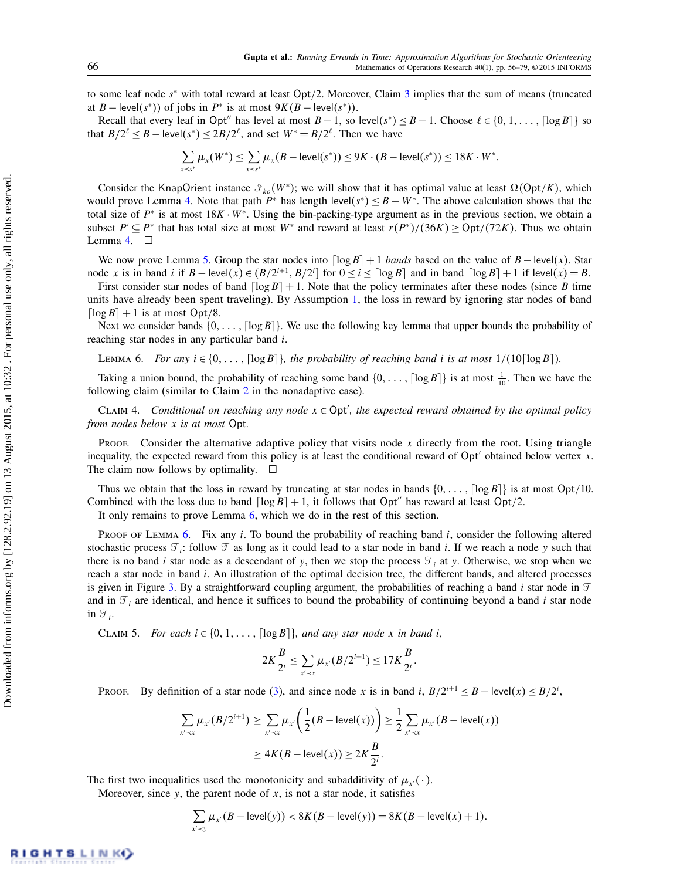to some leaf node s<sup>\*</sup> with total reward at least Opt/2. Moreover, Claim [3](#page-10-2) implies that the sum of means (truncated at  $B - \text{level}(s^*)$  of jobs in  $P^*$  is at most  $9K(B - \text{level}(s^*))$ .

Recall that every leaf in Opt<sup>"</sup> has level at most  $B - 1$ , so level(s<sup>∗</sup>)  $\leq B - 1$ . Choose  $\ell \in \{0, 1, ..., \lceil \log B \rceil\}$  so that  $B/2^{\ell} \leq B - \text{level}(s^*) \leq 2B/2^{\ell}$ , and set  $W^* = B/2^{\ell}$ . Then we have

$$
\sum_{x \preceq s^*} \mu_x(W^*) \le \sum_{x \preceq s^*} \mu_x(B - \text{level}(s^*)) \le 9K \cdot (B - \text{level}(s^*)) \le 18K \cdot W^*.
$$

Consider the KnapOrient instance  $\mathcal{F}_{k0}(W^*)$ ; we will show that it has optimal value at least  $\Omega(\text{Opt}/K)$ , which would prove Lemma [4.](#page-9-0) Note that path  $P^*$  has length level( $s^*$ )  $\leq B - W^*$ . The above calculation shows that the total size of  $P^*$  is at most  $18K \cdot W^*$ . Using the bin-packing-type argument as in the previous section, we obtain a subset  $P' \subseteq P^*$  that has total size at most  $W^*$  and reward at least  $r(P^*)/(36K) \ge \text{Opt}/(72K)$ . Thus we obtain Lemma [4.](#page-9-0)  $\Box$ 

We now prove Lemma [5.](#page-10-1) Group the star nodes into  $\lceil \log B \rceil + 1$  bands based on the value of B – level(x). Star node x is in band i if  $B - \text{level}(x) \in (B/2^{i+1}, B/2^i]$  for  $0 \le i \le \lceil \log B \rceil$  and in band  $\lceil \log B \rceil + 1$  if  $\text{level}(x) = B$ .

First consider star nodes of band  $\lceil \log B \rceil + 1$ . Note that the policy terminates after these nodes (since B time units have already been spent traveling). By Assumption [1,](#page-7-1) the loss in reward by ignoring star nodes of band  $\lceil \log B \rceil + 1$  is at most Opt/8.

Next we consider bands  $\{0, \ldots, \lceil \log B \rceil\}$ . We use the following key lemma that upper bounds the probability of reaching star nodes in any particular band *i*.

<span id="page-11-0"></span>LEMMA 6. For any  $i \in \{0, \ldots, \lceil \log B \rceil\}$ , the probability of reaching band i is at most  $1/(10 \lceil \log B \rceil)$ .

Taking a union bound, the probability of reaching some band  $\{0, \ldots, \lceil \log B \rceil\}$  is at most  $\frac{1}{10}$ . Then we have the following claim (similar to Claim [2](#page-8-3) in the nonadaptive case).

<span id="page-11-2"></span>CLAIM 4. Conditional on reaching any node  $x \in \text{Opt}'$ , the expected reward obtained by the optimal policy from nodes below x is at most Opt.

**Proof.** Consider the alternative adaptive policy that visits node x directly from the root. Using triangle inequality, the expected reward from this policy is at least the conditional reward of Opt' obtained below vertex  $x$ . The claim now follows by optimality.  $\square$ 

Thus we obtain that the loss in reward by truncating at star nodes in bands  $\{0, \ldots, \lceil \log B \rceil\}$  is at most Opt/10. Combined with the loss due to band  $\lceil \log B \rceil + 1$ , it follows that Opt<sup>''</sup> has reward at least Opt/2.

It only remains to prove Lemma [6,](#page-11-0) which we do in the rest of this section.

PROOF OF LEMMA [6.](#page-11-0) Fix any  $i$ . To bound the probability of reaching band  $i$ , consider the following altered stochastic process  $\mathcal{T}_i$ : follow  $\mathcal{T}$  as long as it could lead to a star node in band i. If we reach a node y such that there is no band *i* star node as a descendant of y, then we stop the process  $\mathcal{T}_i$  at y. Otherwise, we stop when we reach a star node in band i. An illustration of the optimal decision tree, the different bands, and altered processes is given in Figure [3.](#page-12-0) By a straightforward coupling argument, the probabilities of reaching a band i star node in  $\mathcal T$ and in  $\mathcal{T}_i$  are identical, and hence it suffices to bound the probability of continuing beyond a band i star node in  $\mathcal{T}_i$ .

<span id="page-11-1"></span>CLAIM 5. For each  $i \in \{0, 1, \ldots, \lceil \log B \rceil\}$ , and any star node x in band i,

$$
2K\frac{B}{2^i} \leq \sum_{x' \prec x} \mu_{x'}(B/2^{i+1}) \leq 17K\frac{B}{2^i}.
$$

PROOF. By definition of a star node [\(3\)](#page-10-0), and since node x is in band i,  $B/2^{i+1} \le B - \text{level}(x) \le B/2^i$ ,

$$
\sum_{x' \prec x} \mu_{x'}(B/2^{i+1}) \ge \sum_{x' \prec x} \mu_{x'}\left(\frac{1}{2}(B - \text{level}(x))\right) \ge \frac{1}{2} \sum_{x' \prec x} \mu_{x'}(B - \text{level}(x))
$$
  
 
$$
\ge 4K(B - \text{level}(x)) \ge 2K\frac{B}{2^{i}}.
$$

The first two inequalities used the monotonicity and subadditivity of  $\mu_{x'}(\cdot)$ .

Moreover, since y, the parent node of  $x$ , is not a star node, it satisfies

$$
\sum_{x' \prec y} \mu_{x'}(B - \text{level}(y)) < 8K(B - \text{level}(y)) = 8K(B - \text{level}(x) + 1).
$$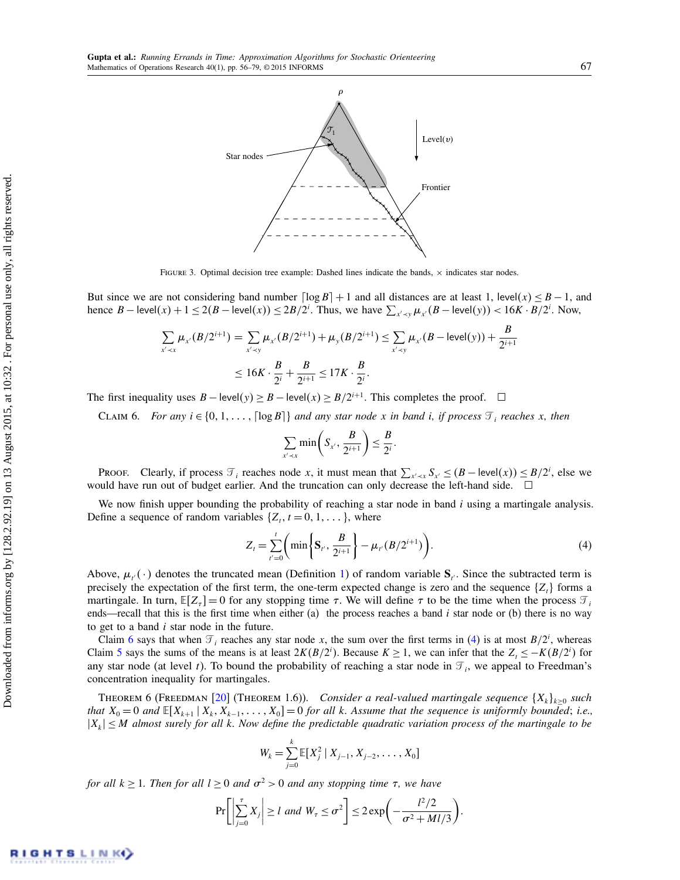

<span id="page-12-0"></span>FIGURE 3. Optimal decision tree example: Dashed lines indicate the bands,  $\times$  indicates star nodes.

But since we are not considering band number  $\lceil \log B \rceil + 1$  and all distances are at least 1, level $(x) \leq B - 1$ , and hence  $B - \text{level}(x) + 1 \leq 2(B - \text{level}(x)) \leq 2B/2^i$ . Thus, we have  $\sum_{x' \prec y} \mu_{x'}(B - \text{level}(y)) < 16K \cdot B/2^i$ . Now,

$$
\sum_{x' \prec x} \mu_{x'}(B/2^{i+1}) = \sum_{x' \prec y} \mu_{x'}(B/2^{i+1}) + \mu_{y}(B/2^{i+1}) \le \sum_{x' \prec y} \mu_{x'}(B - \text{level}(y)) + \frac{B}{2^{i+1}}
$$
  

$$
\le 16K \cdot \frac{B}{2^i} + \frac{B}{2^{i+1}} \le 17K \cdot \frac{B}{2^i}.
$$

The first inequality uses  $B - \text{level}(y) \ge B - \text{level}(x) \ge B/2^{i+1}$ . This completes the proof.  $\Box$ 

<span id="page-12-1"></span>CLAIM 6. For any  $i \in \{0, 1, ..., \lceil \log B \rceil\}$  and any star node x in band i, if process  $\mathcal{T}_i$  reaches x, then

$$
\sum_{x' \prec x} \min\left(S_{x'}, \frac{B}{2^{i+1}}\right) \le \frac{B}{2^i}
$$

Proof. Clearly, if process  $\mathcal{T}_i$  reaches node x, it must mean that  $\sum_{x'\prec x} S_{x'} \leq (B - \text{level}(x)) \leq B/2^i$ , else we would have run out of budget earlier. And the truncation can only decrease the left-hand side.  $\Box$ 

We now finish upper bounding the probability of reaching a star node in band  $i$  using a martingale analysis. Define a sequence of random variables  $\{Z_t, t = 0, 1, \dots\}$ , where

<span id="page-12-2"></span>
$$
Z_{t} = \sum_{t'=0}^{t} \left( \min \left\{ \mathbf{S}_{t'}, \frac{B}{2^{t+1}} \right\} - \mu_{t'} (B/2^{t+1}) \right). \tag{4}
$$

.

Above,  $\mu_{t'}(\cdot)$  denotes the truncated mean (Definition [1\)](#page-7-2) of random variable  $S_{t'}$ . Since the subtracted term is precisely the expectation of the first term, the one-term expected change is zero and the sequence  $\{Z_t\}$  forms a martingale. In turn,  $\mathbb{E}[Z_{\tau}] = 0$  for any stopping time  $\tau$ . We will define  $\tau$  to be the time when the process  $\mathcal{T}_i$ ends—recall that this is the first time when either (a) the process reaches a band  $i$  star node or (b) there is no way to get to a band  $i$  star node in the future.

Claim [6](#page-12-1) says that when  $\mathcal{T}_i$  reaches any star node x, the sum over the first terms in [\(4\)](#page-12-2) is at most  $B/2^i$ , whereas Claim [5](#page-11-1) says the sums of the means is at least  $2K(B/2^i)$ . Because  $K \ge 1$ , we can infer that the  $Z_t \le -K(B/2^i)$  for any star node (at level t). To bound the probability of reaching a star node in  $\mathcal{T}_i$ , we appeal to Freedman's concentration inequality for martingales.

THEOREM 6 (FREEDMAN [\[20\]](#page-24-18) (THEOREM 1.6)). Consider a real-valued martingale sequence  $\{X_k\}_{k\geq 0}$  such that  $X_0 = 0$  and  $\mathbb{E}[X_{k+1} | X_k, X_{k-1}, \dots, X_0] = 0$  for all k. Assume that the sequence is uniformly bounded; i.e.,  $|X_k| \leq M$  almost surely for all k. Now define the predictable quadratic variation process of the martingale to be

$$
W_k = \sum_{j=0}^k \mathbb{E}[X_j^2 \mid X_{j-1}, X_{j-2}, \dots, X_0]
$$

for all  $k \geq 1$ . Then for all  $l \geq 0$  and  $\sigma^2 > 0$  and any stopping time  $\tau$ , we have

$$
\Pr\bigg[\bigg|\sum_{j=0}^{\tau} X_j\bigg| \ge l \text{ and } W_{\tau} \le \sigma^2\bigg] \le 2\exp\bigg(-\frac{l^2/2}{\sigma^2+Ml/3}\bigg).
$$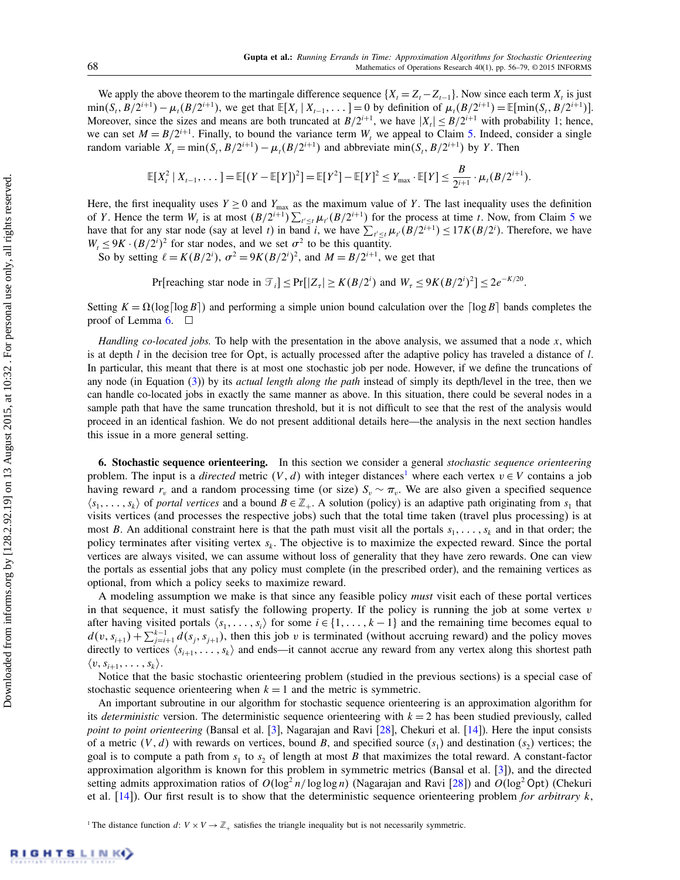We apply the above theorem to the martingale difference sequence  $\{X_t = Z_t - Z_{t-1}\}\$ . Now since each term  $X_t$  is just  $\min(S_t, B/2^{i+1}) - \mu_t(B/2^{i+1}),$  we get that  $\mathbb{E}[X_t | X_{t-1}, \dots] = 0$  by definition of  $\mu_t(B/2^{i+1}) = \mathbb{E}[\min(S_t, B/2^{i+1})]$ . Moreover, since the sizes and means are both truncated at  $B/2^{i+1}$ , we have  $|X_t| \leq B/2^{i+1}$  with probability 1; hence, we can set  $M = B/2^{i+1}$ . Finally, to bound the variance term  $W_t$ , we appeal to Claim [5.](#page-11-1) Indeed, consider a single random variable  $X_t = \min(S_t, B/2^{i+1}) - \mu_t(B/2^{i+1})$  and abbreviate  $\min(S_t, B/2^{i+1})$  by Y. Then

$$
\mathbb{E}[X_t^2 \mid X_{t-1}, \dots] = \mathbb{E}[(Y - \mathbb{E}[Y])^2] = \mathbb{E}[Y^2] - \mathbb{E}[Y]^2 \le Y_{\max} \cdot \mathbb{E}[Y] \le \frac{B}{2^{i+1}} \cdot \mu_t(B/2^{i+1}).
$$

Here, the first inequality uses  $Y \ge 0$  and  $Y_{\text{max}}$  as the maximum value of Y. The last inequality uses the definition of Y. Hence the term  $W_t$  is at most  $(B/2^{i+1})\sum_{t'\leq t}\mu_{t'}(B/2^{i+1})$  for the process at time t. Now, from Claim [5](#page-11-1) we have that for any star node (say at level t) in band i, we have  $\sum_{t' \leq t} \mu_{t'}(B/2^{t+1}) \leq 17K(B/2^t)$ . Therefore, we have  $W_t \le 9K \cdot (B/2^t)^2$  for star nodes, and we set  $\sigma^2$  to be this quantity.

So by setting  $\ell = K(B/2^{i}), \sigma^2 = 9K(B/2^{i})^2$ , and  $M = B/2^{i+1}$ , we get that

Pr[reaching star node in  $\mathcal{T}_i$ ]  $\leq Pr[|Z_{\tau}| \geq K(B/2^i)]$  and  $W_{\tau} \leq 9K(B/2^i)^2] \leq 2e^{-K/20}$ .

Setting  $K = \Omega(\log \log B)$  and performing a simple union bound calculation over the  $\lceil \log B \rceil$  bands completes the proof of Lemma [6.](#page-11-0)  $\Box$ 

Handling co-located jobs. To help with the presentation in the above analysis, we assumed that a node x, which is at depth  $l$  in the decision tree for Opt, is actually processed after the adaptive policy has traveled a distance of  $l$ . In particular, this meant that there is at most one stochastic job per node. However, if we define the truncations of any node (in Equation  $(3)$ ) by its *actual length along the path* instead of simply its depth/level in the tree, then we can handle co-located jobs in exactly the same manner as above. In this situation, there could be several nodes in a sample path that have the same truncation threshold, but it is not difficult to see that the rest of the analysis would proceed in an identical fashion. We do not present additional details here—the analysis in the next section handles this issue in a more general setting.

<span id="page-13-0"></span>6. Stochastic sequence orienteering. In this section we consider a general stochastic sequence orienteering problem. The input is a *directed* metric  $(V, d)$  with integer distances<sup>[1](#page-13-1)</sup> where each vertex  $v \in V$  contains a job having reward  $r_v$  and a random processing time (or size)  $S_v \sim \pi_v$ . We are also given a specified sequence  $\langle s_1,\ldots,s_k\rangle$  of portal vertices and a bound  $B\in\mathbb{Z}_+$ . A solution (policy) is an adaptive path originating from  $s_1$  that visits vertices (and processes the respective jobs) such that the total time taken (travel plus processing) is at most B. An additional constraint here is that the path must visit all the portals  $s_1, \ldots, s_k$  and in that order; the policy terminates after visiting vertex  $s_k$ . The objective is to maximize the expected reward. Since the portal vertices are always visited, we can assume without loss of generality that they have zero rewards. One can view the portals as essential jobs that any policy must complete (in the prescribed order), and the remaining vertices as optional, from which a policy seeks to maximize reward.

A modeling assumption we make is that since any feasible policy must visit each of these portal vertices in that sequence, it must satisfy the following property. If the policy is running the job at some vertex  $v$ after having visited portals  $\langle s_1, \ldots, s_i \rangle$  for some  $i \in \{1, \ldots, k-1\}$  and the remaining time becomes equal to  $d(v, s_{i+1}) + \sum_{j=i+1}^{k-1} d(s_j, s_{j+1})$ , then this job v is terminated (without accruing reward) and the policy moves directly to vertices  $\langle s_{i+1}, \ldots, s_k \rangle$  and ends—it cannot accrue any reward from any vertex along this shortest path  $\langle v, s_{i+1}, \ldots, s_k \rangle$ .

Notice that the basic stochastic orienteering problem (studied in the previous sections) is a special case of stochastic sequence orienteering when  $k = 1$  and the metric is symmetric.

An important subroutine in our algorithm for stochastic sequence orienteering is an approximation algorithm for its *deterministic* version. The deterministic sequence orienteering with  $k = 2$  has been studied previously, called point to point orienteering (Bansal et al. [\[3\]](#page-23-1), Nagarajan and Ravi [\[28\]](#page-24-4), Chekuri et al. [\[14\]](#page-24-1)). Here the input consists of a metric  $(V, d)$  with rewards on vertices, bound B, and specified source  $(s_1)$  and destination  $(s_2)$  vertices; the goal is to compute a path from  $s_1$  to  $s_2$  of length at most B that maximizes the total reward. A constant-factor approximation algorithm is known for this problem in symmetric metrics (Bansal et al. [\[3\]](#page-23-1)), and the directed setting admits approximation ratios of  $O(\log^2 n/\log \log n)$  (Nagarajan and Ravi [\[28\]](#page-24-4)) and  $O(\log^2 \mathcal{O}$ pt) (Chekuri et al.  $[14]$ ). Our first result is to show that the deterministic sequence orienteering problem for arbitrary k,

<span id="page-13-1"></span><sup>1</sup> The distance function d:  $V \times V \rightarrow \mathbb{Z}_+$  satisfies the triangle inequality but is not necessarily symmetric.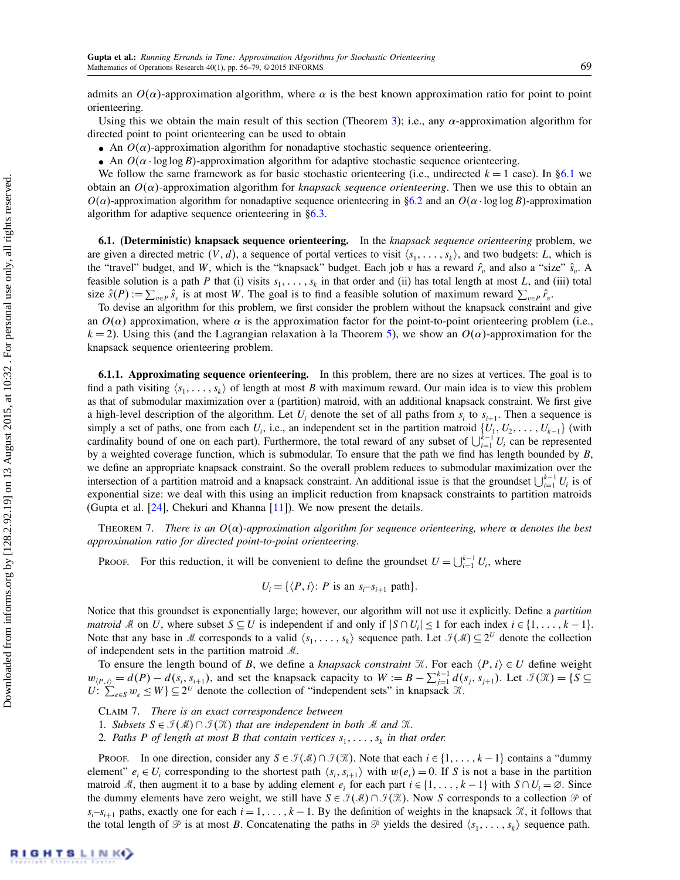admits an  $O(\alpha)$ -approximation algorithm, where  $\alpha$  is the best known approximation ratio for point to point orienteering.

Using this we obtain the main result of this section (Theorem [3\)](#page-2-1); i.e., any  $\alpha$ -approximation algorithm for directed point to point orienteering can be used to obtain

- An  $O(\alpha)$ -approximation algorithm for nonadaptive stochastic sequence orienteering.
- An  $O(\alpha \cdot \log \log B)$ -approximation algorithm for adaptive stochastic sequence orienteering.

We follow the same framework as for basic stochastic orienteering (i.e., undirected  $k = 1$  case). In [§6.1](#page-14-0) we obtain an  $O(\alpha)$ -approximation algorithm for *knapsack sequence orienteering*. Then we use this to obtain an  $O(\alpha)$ -approximation algorithm for nonadaptive sequence orienteering in [§6.2](#page-16-0) and an  $O(\alpha \cdot \log \log B)$ -approximation algorithm for adaptive sequence orienteering in [§6.3.](#page-16-1)

<span id="page-14-0"></span>**6.1. (Deterministic) knapsack sequence orienteering.** In the knapsack sequence orienteering problem, we are given a directed metric  $(V, d)$ , a sequence of portal vertices to visit  $\langle s_1, \ldots, s_k \rangle$ , and two budgets: L, which is the "travel" budget, and W, which is the "knapsack" budget. Each job v has a reward  $\hat{r}_v$  and also a "size"  $\hat{s}_v$ . A feasible solution is a path P that (i) visits  $s_1, \ldots, s_k$  in that order and (ii) has total length at most L, and (iii) total size  $\hat{s}(P) := \sum_{v \in P} \hat{s}_v$  is at most W. The goal is to find a feasible solution of maximum reward  $\sum_{v \in P} \hat{r}_v$ .

To devise an algorithm for this problem, we first consider the problem without the knapsack constraint and give an  $O(\alpha)$  approximation, where  $\alpha$  is the approximation factor for the point-to-point orienteering problem (i.e.,  $k = 2$ ). Using this (and the Lagrangian relaxation à la Theorem [5\)](#page-4-2), we show an  $O(\alpha)$ -approximation for the knapsack sequence orienteering problem.

6.1.1. Approximating sequence orienteering. In this problem, there are no sizes at vertices. The goal is to find a path visiting  $\langle s_1, \ldots, s_k \rangle$  of length at most B with maximum reward. Our main idea is to view this problem as that of submodular maximization over a (partition) matroid, with an additional knapsack constraint. We first give a high-level description of the algorithm. Let  $U_i$  denote the set of all paths from  $s_i$  to  $s_{i+1}$ . Then a sequence is simply a set of paths, one from each  $U_i$ , i.e., an independent set in the partition matroid  $\{U_1, U_2, \ldots, U_{k-1}\}$  (with cardinality bound of one on each part). Furthermore, the total reward of any subset of  $\bigcup_{i=1}^{k-1} U_i$  can be represented by a weighted coverage function, which is submodular. To ensure that the path we find has length bounded by  $B$ , we define an appropriate knapsack constraint. So the overall problem reduces to submodular maximization over the intersection of a partition matroid and a knapsack constraint. An additional issue is that the groundset  $\bigcup_{i=1}^{k-1} U_i$  is of exponential size: we deal with this using an implicit reduction from knapsack constraints to partition matroids (Gupta et al. [\[24\]](#page-24-19), Chekuri and Khanna [\[11\]](#page-24-20)). We now present the details.

THEOREM 7. There is an  $O(\alpha)$ -approximation algorithm for sequence orienteering, where  $\alpha$  denotes the best approximation ratio for directed point-to-point orienteering.

PROOF. For this reduction, it will be convenient to define the groundset  $U = \bigcup_{i=1}^{k-1} U_i$ , where

$$
U_i = \{ \langle P, i \rangle : P \text{ is an } s_i - s_{i+1} \text{ path} \}.
$$

Notice that this groundset is exponentially large; however, our algorithm will not use it explicitly. Define a partition *matroid* M on U, where subset  $S \subseteq U$  is independent if and only if  $|S \cap U_i| \le 1$  for each index  $i \in \{1, \ldots, k-1\}$ . Note that any base in M corresponds to a valid  $\langle s_1,\ldots,s_k\rangle$  sequence path. Let  $\mathcal{I}(\mathcal{M})\subseteq 2^U$  denote the collection of independent sets in the partition matroid M.

To ensure the length bound of B, we define a knapsack constraint  $\mathcal{X}$ . For each  $\langle P, i \rangle \in U$  define weight  $w_{(P,i)} = d(P) - d(s_i, s_{i+1})$ , and set the knapsack capacity to  $W := B - \sum_{j=1}^{k-1} d(s_j, s_{j+1})$ . Let  $\mathcal{I}(\mathcal{X}) = \{S \subseteq$  $U: \sum_{e \in S} w_e \leq W$   $\subseteq$  2<sup>*U*</sup> denote the collection of "independent sets" in knapsack  $\mathcal{K}$ .

<span id="page-14-1"></span>Claim 7. There is an exact correspondence between

- 1. Subsets  $S \in \mathcal{F}(\mathcal{M}) \cap \mathcal{F}(\mathcal{K})$  that are independent in both M and  $\mathcal{K}$ .
- 2. Paths P of length at most B that contain vertices  $s_1, \ldots, s_k$  in that order.

Proof. In one direction, consider any  $S \in \mathcal{F}(\mathcal{M}) \cap \mathcal{F}(\mathcal{K})$ . Note that each  $i \in \{1, \dots, k-1\}$  contains a "dummy" element"  $e_i \in U_i$  corresponding to the shortest path  $\langle s_i, s_{i+1} \rangle$  with  $w(e_i) = 0$ . If S is not a base in the partition matroid M, then augment it to a base by adding element  $e_i$  for each part  $i \in \{1, \ldots, k-1\}$  with  $S \cap U_i = \emptyset$ . Since the dummy elements have zero weight, we still have  $S \in \mathcal{F}(\mathcal{M}) \cap \mathcal{F}(\mathcal{K})$ . Now S corresponds to a collection  $\mathcal P$  of  $s_i-s_{i+1}$  paths, exactly one for each  $i = 1, \ldots, k-1$ . By the definition of weights in the knapsack  $\mathcal{R}$ , it follows that the total length of  $\mathcal{P}$  is at most B. Concatenating the paths in  $\mathcal{P}$  yields the desired  $\langle s_1, \ldots, s_k \rangle$  sequence path.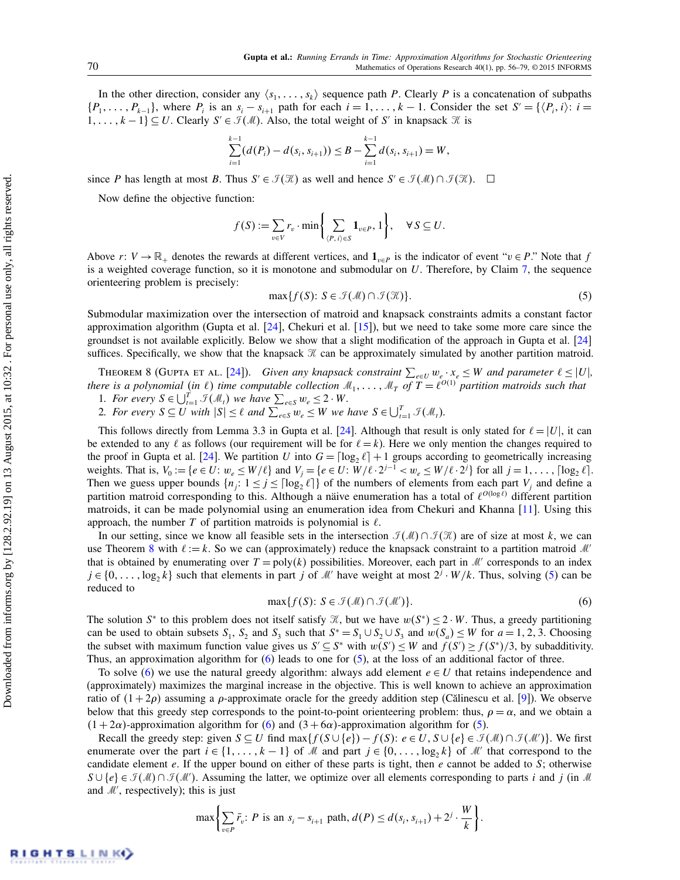In the other direction, consider any  $\langle s_1, \ldots, s_k \rangle$  sequence path P. Clearly P is a concatenation of subpaths  $\{P_1, \ldots, P_{k-1}\}\$ , where  $P_i$  is an  $s_i - s_{i+1}$  path for each  $i = 1, \ldots, k-1$ . Consider the set  $S' = \{\langle P_i, i \rangle : i = 1, \ldots, k-1\}$ 1, ...,  $k-1$ } ⊆ U. Clearly  $S' \in \mathcal{I}(\mathcal{M})$ . Also, the total weight of S' in knapsack  $\mathcal{K}$  is

$$
\sum_{i=1}^{k-1} (d(P_i) - d(s_i, s_{i+1})) \leq B - \sum_{i=1}^{k-1} d(s_i, s_{i+1}) = W,
$$

since P has length at most B. Thus  $S' \in \mathcal{F}(\mathcal{K})$  as well and hence  $S' \in \mathcal{F}(\mathcal{M}) \cap \mathcal{F}(\mathcal{K})$ .  $\square$ 

Now define the objective function:

$$
f(S) := \sum_{v \in V} r_v \cdot \min \left\{ \sum_{\langle P, i \rangle \in S} \mathbf{1}_{v \in P}, 1 \right\}, \quad \forall S \subseteq U.
$$

Above r:  $V \to \mathbb{R}_+$  denotes the rewards at different vertices, and  $\mathbf{1}_{v \in P}$  is the indicator of event " $v \in P$ ." Note that f is a weighted coverage function, so it is monotone and submodular on  $U$ . Therefore, by Claim [7,](#page-14-1) the sequence orienteering problem is precisely:

<span id="page-15-1"></span>
$$
\max\{f(S): S \in \mathcal{F}(\mathcal{M}) \cap \mathcal{F}(\mathcal{K})\}.
$$
 (5)

Submodular maximization over the intersection of matroid and knapsack constraints admits a constant factor approximation algorithm (Gupta et al. [\[24\]](#page-24-19), Chekuri et al. [\[15\]](#page-24-21)), but we need to take some more care since the groundset is not available explicitly. Below we show that a slight modification of the approach in Gupta et al. [\[24\]](#page-24-19) suffices. Specifically, we show that the knapsack  $K$  can be approximately simulated by another partition matroid.

<span id="page-15-0"></span>THEOREM 8 (GUPTA ET AL. [\[24\]](#page-24-19)). Given any knapsack constraint  $\sum_{e \in U} w_e \cdot x_e \leq W$  and parameter  $\ell \leq |U|$ , there is a polynomial  $\int_a^b$  in  $\ell$ ) time computable collection  $\mathcal{M}_1, \ldots, \mathcal{M}_T$  of  $T = \ell^{O(1)}$  partition matroids such that

1. For every  $S \in \bigcup_{t=1}^T \mathcal{I}(\mathcal{M}_t)$  we have  $\sum_{e \in S} w_e \leq 2 \cdot W$ .

2. For every  $S \subseteq U$  with  $|S| \leq \ell$  and  $\sum_{e \in S} w_e \leq W$  we have  $S \in \bigcup_{t=1}^T \mathcal{F}(\mathcal{M}_t)$ .

This follows directly from Lemma 3.3 in Gupta et al. [\[24\]](#page-24-19). Although that result is only stated for  $\ell = |U|$ , it can be extended to any  $\ell$  as follows (our requirement will be for  $\ell = k$ ). Here we only mention the changes required to the proof in Gupta et al. [\[24\]](#page-24-19). We partition U into  $G = \lceil \log_2 \ell \rceil + 1$  groups according to geometrically increasing weights. That is,  $V_0 := \{e \in U: w_e \leq W/\ell\}$  and  $V_j = \{e \in U: W/\ell \cdot 2^{j-1} < w_e \leq W/\ell \cdot 2^j\}$  for all  $j = 1, \ldots, \lceil \log_2 \ell \rceil$ . Then we guess upper bounds  $\{n_j: 1 \le j \le \lceil \log_2 \ell \rceil\}$  of the numbers of elements from each part  $V_j$  and define a partition matroid corresponding to this. Although a näive enumeration has a total of  $\ell^{O(\log \ell)}$  different partition matroids, it can be made polynomial using an enumeration idea from Chekuri and Khanna [\[11\]](#page-24-20). Using this approach, the number  $T$  of partition matroids is polynomial is  $\ell$ .

In our setting, since we know all feasible sets in the intersection  $\mathcal{I}(\mathcal{M}) \cap \mathcal{I}(\mathcal{K})$  are of size at most k, we can use Theorem [8](#page-15-0) with  $\ell := k$ . So we can (approximately) reduce the knapsack constraint to a partition matroid M' that is obtained by enumerating over  $T = poly(k)$  possibilities. Moreover, each part in M' corresponds to an index  $j \in \{0, \ldots, \log_2 k\}$  such that elements in part j of M' have weight at most  $2^j \cdot W/k$ . Thus, solving [\(5\)](#page-15-1) can be reduced to

<span id="page-15-2"></span>
$$
\max\{f(S)\colon S\in\mathcal{I}(\mathcal{M})\cap\mathcal{I}(\mathcal{M}')\}.\tag{6}
$$

The solution S<sup>\*</sup> to this problem does not itself satisfy  $\mathcal{K}$ , but we have  $w(S^*) \leq 2 \cdot W$ . Thus, a greedy partitioning can be used to obtain subsets  $S_1$ ,  $S_2$  and  $S_3$  such that  $S^* = S_1 \cup S_2 \cup S_3$  and  $w(S_a) \leq W$  for  $a = 1, 2, 3$ . Choosing the subset with maximum function value gives us  $S' \subseteq S^*$  with  $w(S') \leq W$  and  $f(S') \geq f(S^*)/3$ , by subadditivity. Thus, an approximation algorithm for  $(6)$  leads to one for  $(5)$ , at the loss of an additional factor of three.

To solve [\(6\)](#page-15-2) we use the natural greedy algorithm: always add element  $e \in U$  that retains independence and (approximately) maximizes the marginal increase in the objective. This is well known to achieve an approximation ratio of  $(1+2\rho)$  assuming a  $\rho$ -approximate oracle for the greedy addition step (Călinescu et al. [\[9\]](#page-24-22)). We observe below that this greedy step corresponds to the point-to-point orienteering problem: thus,  $\rho = \alpha$ , and we obtain a  $(1 + 2\alpha)$ -approximation algorithm for [\(6\)](#page-15-2) and  $(3 + 6\alpha)$ -approximation algorithm for [\(5\)](#page-15-1).

Recall the greedy step: given  $S \subseteq U$  find  $\max\{f(S \cup \{e\}) - f(S): e \in U, S \cup \{e\} \in \mathcal{F}(\mathcal{M}) \cap \mathcal{F}(\mathcal{M}')\}$ . We first enumerate over the part  $i \in \{1, ..., k-1\}$  of M and part  $j \in \{0, ..., \log_2 k\}$  of M' that correspond to the candidate element  $e$ . If the upper bound on either of these parts is tight, then  $e$  cannot be added to  $S$ ; otherwise  $S \cup \{e\} \in \mathcal{F}(\mathcal{M}) \cap \mathcal{F}(\mathcal{M}')$ . Assuming the latter, we optimize over all elements corresponding to parts *i* and *j* (in M and  $M'$ , respectively); this is just

$$
\max \bigg\{ \sum_{v \in P} \bar{r}_v : P \text{ is an } s_i - s_{i+1} \text{ path, } d(P) \leq d(s_i, s_{i+1}) + 2^j \cdot \frac{W}{k} \bigg\}.
$$

RIGHTS LINK()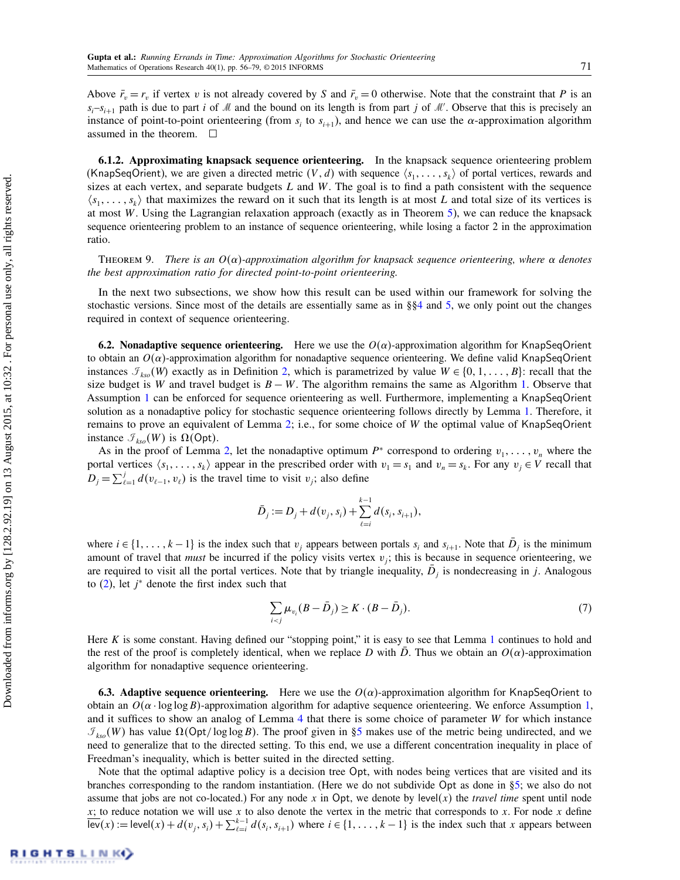Above  $\bar{r}_v = r_v$  if vertex v is not already covered by S and  $\bar{r}_v = 0$  otherwise. Note that the constraint that P is an  $s_i-s_{i+1}$  path is due to part i of M and the bound on its length is from part j of M'. Observe that this is precisely an instance of point-to-point orienteering (from  $s_i$  to  $s_{i+1}$ ), and hence we can use the  $\alpha$ -approximation algorithm assumed in the theorem.  $\Box$ 

6.1.2. Approximating knapsack sequence orienteering. In the knapsack sequence orienteering problem (KnapSeqOrient), we are given a directed metric  $(V, d)$  with sequence  $\langle s_1, \ldots, s_k \rangle$  of portal vertices, rewards and sizes at each vertex, and separate budgets  $L$  and  $W$ . The goal is to find a path consistent with the sequence  $\langle s_1, \ldots, s_k \rangle$  that maximizes the reward on it such that its length is at most L and total size of its vertices is at most W. Using the Lagrangian relaxation approach (exactly as in Theorem  $5$ ), we can reduce the knapsack sequence orienteering problem to an instance of sequence orienteering, while losing a factor 2 in the approximation ratio.

THEOREM 9. There is an  $O(\alpha)$ -approximation algorithm for knapsack sequence orienteering, where  $\alpha$  denotes the best approximation ratio for directed point-to-point orienteering.

In the next two subsections, we show how this result can be used within our framework for solving the stochastic versions. Since most of the details are essentially same as in §[§4](#page-6-0) and [5,](#page-9-1) we only point out the changes required in context of sequence orienteering.

<span id="page-16-0"></span>6.2. Nonadaptive sequence orienteering. Here we use the  $O(\alpha)$ -approximation algorithm for KnapSeqOrient to obtain an  $O(\alpha)$ -approximation algorithm for nonadaptive sequence orienteering. We define valid KnapSeqOrient instances  $\mathcal{F}_{kso}(W)$  exactly as in Definition [2,](#page-7-3) which is parametrized by value  $W \in \{0, 1, \ldots, B\}$ : recall that the size budget is W and travel budget is  $B - W$ . The algorithm remains the same as Algorithm [1.](#page-8-0) Observe that Assumption [1](#page-7-1) can be enforced for sequence orienteering as well. Furthermore, implementing a KnapSeqOrient solution as a nonadaptive policy for stochastic sequence orienteering follows directly by Lemma [1.](#page-7-0) Therefore, it remains to prove an equivalent of Lemma [2;](#page-8-2) i.e., for some choice of W the optimal value of KnapSeqOrient instance  $\mathcal{F}_{kso}(W)$  is  $\Omega$ (Opt).

As in the proof of Lemma [2,](#page-8-2) let the nonadaptive optimum  $P^*$  correspond to ordering  $v_1, \ldots, v_n$  where the portal vertices  $\langle s_1, \ldots, s_k \rangle$  appear in the prescribed order with  $v_1 = s_1$  and  $v_n = s_k$ . For any  $v_j \in V$  recall that  $D_j = \sum_{\ell=1}^j d(v_{\ell-1}, v_{\ell})$  is the travel time to visit  $v_j$ ; also define

$$
\bar{D}_j := D_j + d(v_j, s_i) + \sum_{\ell=i}^{k-1} d(s_i, s_{i+1}),
$$

where  $i \in \{1, \ldots, k-1\}$  is the index such that  $v_j$  appears between portals  $s_i$  and  $s_{i+1}$ . Note that  $\overline{D}_j$  is the minimum amount of travel that *must* be incurred if the policy visits vertex  $v_j$ ; this is because in sequence orienteering, we are required to visit all the portal vertices. Note that by triangle inequality,  $\bar{D}_j$  is nondecreasing in j. Analogous to  $(2)$ , let  $j^*$  denote the first index such that

$$
\sum_{i < j} \mu_{v_i}(B - \bar{D}_j) \ge K \cdot (B - \bar{D}_j). \tag{7}
$$

Here  $K$  is some constant. Having defined our "stopping point," it is easy to see that Lemma [1](#page-8-4) continues to hold and the rest of the proof is completely identical, when we replace D with D. Thus we obtain an  $O(\alpha)$ -approximation algorithm for nonadaptive sequence orienteering.

<span id="page-16-1"></span>6.3. Adaptive sequence orienteering. Here we use the  $O(\alpha)$ -approximation algorithm for KnapSeqOrient to obtain an  $O(\alpha \cdot \log \log B)$ -approximation algorithm for adaptive sequence orienteering. We enforce Assumption [1,](#page-7-1) and it suffices to show an analog of Lemma  $4$  that there is some choice of parameter  $W$  for which instance  $\mathcal{I}_{kso}(W)$  has value  $\Omega(\text{Opt}/\log \log B)$ . The proof given in [§5](#page-9-1) makes use of the metric being undirected, and we need to generalize that to the directed setting. To this end, we use a different concentration inequality in place of Freedman's inequality, which is better suited in the directed setting.

Note that the optimal adaptive policy is a decision tree Opt, with nodes being vertices that are visited and its branches corresponding to the random instantiation. (Here we do not subdivide Opt as done in [§5;](#page-9-1) we also do not assume that jobs are not co-located.) For any node x in Opt, we denote by level(x) the *travel time* spent until node x; to reduce notation we will use x to also denote the vertex in the metric that corresponds to x. For node x define  $\overline{\text{lev}}(x) := \text{level}(x) + d(v_j, s_i) + \sum_{\ell=i}^{k-1} d(s_i, s_{i+1})$  where  $i \in \{1, \dots, k-1\}$  is the index such that x appears between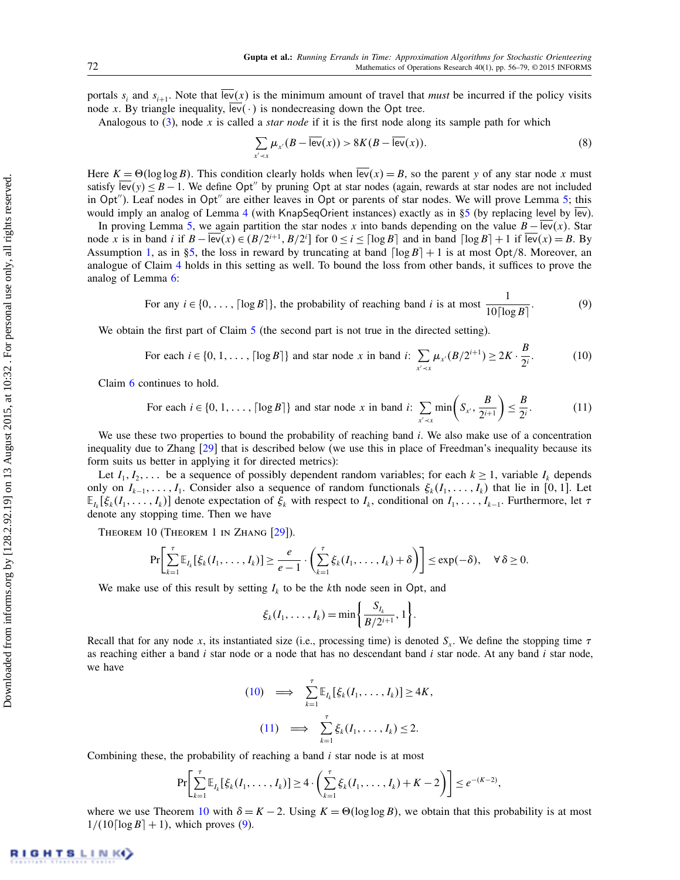portals  $s_i$  and  $s_{i+1}$ . Note that lev $(x)$  is the minimum amount of travel that *must* be incurred if the policy visits node x. By triangle inequality, lev( $\cdot$ ) is nondecreasing down the Opt tree.

Analogous to  $(3)$ , node x is called a *star node* if it is the first node along its sample path for which

$$
\sum_{x' \prec x} \mu_{x'}(B - \overline{\text{lev}}(x)) > 8K(B - \overline{\text{lev}}(x)).\tag{8}
$$

Here  $K = \Theta(\log \log B)$ . This condition clearly holds when  $\overline{lev}(x) = B$ , so the parent y of any star node x must satisfy  $\overline{ev}(y) \leq B - 1$ . We define Opt<sup>"</sup> by pruning Opt at star nodes (again, rewards at star nodes are not included in Opt"). Leaf nodes in Opt" are either leaves in Opt or parents of star nodes. We will prove Lemma [5;](#page-10-1) this would imply an analog of Lemma [4](#page-9-0) (with KnapSeqOrient instances) exactly as in [§5](#page-9-1) (by replacing level by lev).

In proving Lemma [5,](#page-10-1) we again partition the star nodes x into bands depending on the value  $B - \text{lev}(x)$ . Star node x is in band i if  $B - \overline{lev}(x) \in (B/2^{i+1}, B/2^i]$  for  $0 \le i \le \lceil \log B \rceil$  and in band  $\lceil \log B \rceil + 1$  if  $\overline{lev}(x) = B$ . By Assumption [1,](#page-7-1) as in [§5,](#page-9-1) the loss in reward by truncating at band  $\lceil \log B \rceil + 1$  is at most Opt/8. Moreover, an analogue of Claim [4](#page-11-2) holds in this setting as well. To bound the loss from other bands, it suffices to prove the analog of Lemma [6:](#page-11-0)

<span id="page-17-3"></span>For any 
$$
i \in \{0, ..., \lceil \log B \rceil\}
$$
, the probability of reaching band *i* is at most  $\frac{1}{10 \lceil \log B \rceil}$ . (9)

We obtain the first part of Claim [5](#page-11-1) (the second part is not true in the directed setting).

<span id="page-17-0"></span>For each 
$$
i \in \{0, 1, ..., \lceil \log B \rceil\}
$$
 and star node x in band i: 
$$
\sum_{x' \prec x} \mu_{x'}(B/2^{i+1}) \ge 2K \cdot \frac{B}{2^i}.
$$
 (10)

Claim [6](#page-12-1) continues to hold.

<span id="page-17-1"></span>For each 
$$
i \in \{0, 1, ..., \lceil \log B \rceil\}
$$
 and star node x in band i: 
$$
\sum_{x' \prec x} \min \left( S_{x'}, \frac{B}{2^{i+1}} \right) \leq \frac{B}{2^i}.
$$
 (11)

We use these two properties to bound the probability of reaching band i. We also make use of a concentration inequality due to Zhang [\[29\]](#page-24-23) that is described below (we use this in place of Freedman's inequality because its form suits us better in applying it for directed metrics):

Let  $I_1, I_2, \ldots$  be a sequence of possibly dependent random variables; for each  $k \ge 1$ , variable  $I_k$  depends only on  $I_{k-1}, \ldots, I_1$ . Consider also a sequence of random functionals  $\xi_k(I_1, \ldots, I_k)$  that lie in [0, 1]. Let  $\mathbb{E}_{I_k}[\xi_k(I_1,\ldots,I_k)]$  denote expectation of  $\xi_k$  with respect to  $I_k$ , conditional on  $I_1,\ldots,I_{k-1}$ . Furthermore, let  $\tau$ denote any stopping time. Then we have

<span id="page-17-2"></span>THEOREM 10 (THEOREM 1 IN ZHANG [\[29\]](#page-24-23)).

$$
\Pr\bigg[\sum_{k=1}^{\tau} \mathbb{E}_{I_k}[\xi_k(I_1,\ldots,I_k)] \geq \frac{e}{e-1} \cdot \left(\sum_{k=1}^{\tau} \xi_k(I_1,\ldots,I_k) + \delta\right)\bigg] \leq \exp(-\delta), \quad \forall \delta \geq 0.
$$

We make use of this result by setting  $I_k$  to be the kth node seen in Opt, and

$$
\xi_k(I_1,\ldots,I_k) = \min\left\{\frac{S_{I_k}}{B/2^{i+1}},1\right\}.
$$

Recall that for any node x, its instantiated size (i.e., processing time) is denoted  $S_x$ . We define the stopping time  $\tau$ as reaching either a band  $i$  star node or a node that has no descendant band  $i$  star node. At any band  $i$  star node, we have

$$
(10) \implies \sum_{k=1}^{\tau} \mathbb{E}_{I_k} [\xi_k(I_1, \dots, I_k)] \ge 4K,
$$

$$
(11) \implies \sum_{k=1}^{\tau} \xi_k(I_1, \dots, I_k) \le 2.
$$

Combining these, the probability of reaching a band  $i$  star node is at most

$$
\Pr\bigg[\sum_{k=1}^{\tau} \mathbb{E}_{I_k}[\xi_k(I_1,\ldots,I_k)] \geq 4 \cdot \left(\sum_{k=1}^{\tau} \xi_k(I_1,\ldots,I_k) + K - 2\right)\bigg] \leq e^{-(K-2)},
$$

where we use Theorem [10](#page-17-2) with  $\delta = K - 2$ . Using  $K = \Theta(\log \log B)$ , we obtain that this probability is at most  $1/(10 \lceil \log B \rceil + 1)$ , which proves [\(9\)](#page-17-3).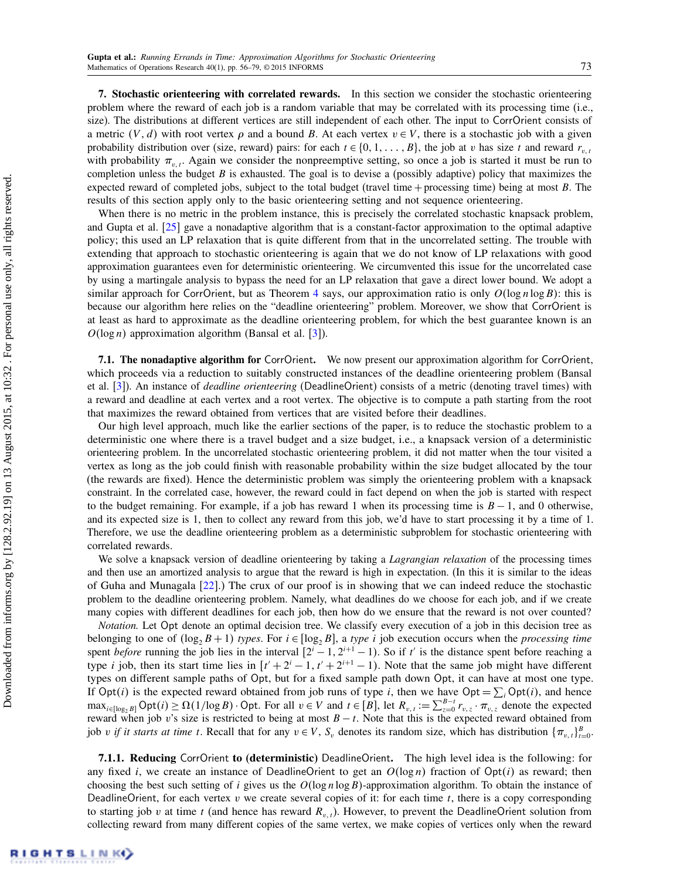<span id="page-18-0"></span>7. Stochastic orienteering with correlated rewards. In this section we consider the stochastic orienteering problem where the reward of each job is a random variable that may be correlated with its processing time (i.e., size). The distributions at different vertices are still independent of each other. The input to CorrOrient consists of a metric  $(V, d)$  with root vertex  $\rho$  and a bound B. At each vertex  $v \in V$ , there is a stochastic job with a given probability distribution over (size, reward) pairs: for each  $t \in \{0, 1, \ldots, B\}$ , the job at v has size t and reward  $r_{v,t}$ with probability  $\pi_{v,t}$ . Again we consider the nonpreemptive setting, so once a job is started it must be run to completion unless the budget B is exhausted. The goal is to devise a (possibly adaptive) policy that maximizes the expected reward of completed jobs, subject to the total budget (travel time + processing time) being at most B. The results of this section apply only to the basic orienteering setting and not sequence orienteering.

When there is no metric in the problem instance, this is precisely the correlated stochastic knapsack problem, and Gupta et al. [\[25\]](#page-24-9) gave a nonadaptive algorithm that is a constant-factor approximation to the optimal adaptive policy; this used an LP relaxation that is quite different from that in the uncorrelated setting. The trouble with extending that approach to stochastic orienteering is again that we do not know of LP relaxations with good approximation guarantees even for deterministic orienteering. We circumvented this issue for the uncorrelated case by using a martingale analysis to bypass the need for an LP relaxation that gave a direct lower bound. We adopt a similar approach for CorrOrient, but as Theorem [4](#page-2-3) says, our approximation ratio is only  $O(\log n \log B)$ : this is because our algorithm here relies on the "deadline orienteering" problem. Moreover, we show that CorrOrient is at least as hard to approximate as the deadline orienteering problem, for which the best guarantee known is an  $O(\log n)$  approximation algorithm (Bansal et al. [\[3\]](#page-23-1)).

7.1. The nonadaptive algorithm for CorrOrient. We now present our approximation algorithm for CorrOrient, which proceeds via a reduction to suitably constructed instances of the deadline orienteering problem (Bansal et al. [\[3\]](#page-23-1)). An instance of deadline orienteering (DeadlineOrient) consists of a metric (denoting travel times) with a reward and deadline at each vertex and a root vertex. The objective is to compute a path starting from the root that maximizes the reward obtained from vertices that are visited before their deadlines.

Our high level approach, much like the earlier sections of the paper, is to reduce the stochastic problem to a deterministic one where there is a travel budget and a size budget, i.e., a knapsack version of a deterministic orienteering problem. In the uncorrelated stochastic orienteering problem, it did not matter when the tour visited a vertex as long as the job could finish with reasonable probability within the size budget allocated by the tour (the rewards are fixed). Hence the deterministic problem was simply the orienteering problem with a knapsack constraint. In the correlated case, however, the reward could in fact depend on when the job is started with respect to the budget remaining. For example, if a job has reward 1 when its processing time is  $B - 1$ , and 0 otherwise, and its expected size is 1, then to collect any reward from this job, we'd have to start processing it by a time of 1. Therefore, we use the deadline orienteering problem as a deterministic subproblem for stochastic orienteering with correlated rewards.

We solve a knapsack version of deadline orienteering by taking a *Lagrangian relaxation* of the processing times and then use an amortized analysis to argue that the reward is high in expectation. (In this it is similar to the ideas of Guha and Munagala [\[22\]](#page-24-10).) The crux of our proof is in showing that we can indeed reduce the stochastic problem to the deadline orienteering problem. Namely, what deadlines do we choose for each job, and if we create many copies with different deadlines for each job, then how do we ensure that the reward is not over counted?

Notation. Let Opt denote an optimal decision tree. We classify every execution of a job in this decision tree as belonging to one of  $(\log_2 B + 1)$  types. For  $i \in [\log_2 B]$ , a type i job execution occurs when the processing time spent *before* running the job lies in the interval  $[2^{i} - 1, 2^{i+1} - 1)$ . So if t' is the distance spent before reaching a type *i* job, then its start time lies in  $[t' + 2^i - 1, t' + 2^{i+1} - 1)$ . Note that the same job might have different types on different sample paths of Opt, but for a fixed sample path down Opt, it can have at most one type. If Opt(*i*) is the expected reward obtained from job runs of type *i*, then we have  $Opt = \sum_i Opt(i)$ , and hence  $\max_{i \in [\log_2 B]} \text{Opt}(i) \ge \Omega(1/\log B) \cdot \text{Opt.}$  For all  $v \in V$  and  $t \in [B]$ , let  $R_{v,t} := \sum_{z=0}^{B-t} r_{v,z} \cdot \pi_{v,z}$  denote the expected reward when job v's size is restricted to being at most  $B - t$ . Note that this is the expected reward obtained from job v if it starts at time t. Recall that for any  $v \in V$ ,  $S_v$  denotes its random size, which has distribution  $\{\pi_{v,t}\}_{t=0}^B$ .

7.1.1. Reducing CorrOrient to (deterministic) DeadlineOrient. The high level idea is the following: for any fixed i, we create an instance of DeadlineOrient to get an  $O(\log n)$  fraction of Opt(i) as reward; then choosing the best such setting of i gives us the  $O(\log n \log B)$ -approximation algorithm. To obtain the instance of DeadlineOrient, for each vertex  $v$  we create several copies of it: for each time  $t$ , there is a copy corresponding to starting job v at time t (and hence has reward  $R_{v,t}$ ). However, to prevent the DeadlineOrient solution from collecting reward from many different copies of the same vertex, we make copies of vertices only when the reward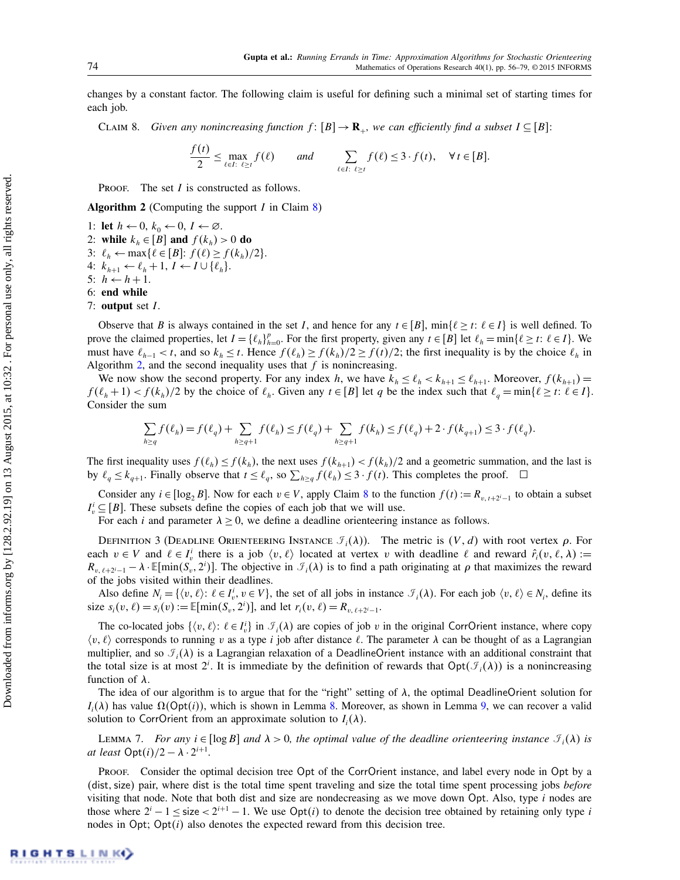changes by a constant factor. The following claim is useful for defining such a minimal set of starting times for each job.

<span id="page-19-0"></span>CLAIM 8. Given any nonincreasing function  $f: [B] \to \mathbf{R}_+$ , we can efficiently find a subset  $I \subseteq [B]$ :

$$
\frac{f(t)}{2} \le \max_{\ell \in I: \ \ell \ge t} f(\ell) \qquad \text{and} \qquad \sum_{\ell \in I: \ \ell \ge t} f(\ell) \le 3 \cdot f(t), \quad \forall \ t \in [B].
$$

PROOF. The set I is constructed as follows.

<span id="page-19-1"></span>Algorithm 2 (Computing the support  $I$  in Claim  $8$ )

1: let  $h \leftarrow 0, k_0 \leftarrow 0, I \leftarrow \emptyset$ . 2: while  $k_h \in [B]$  and  $f(k_h) > 0$  do 3:  $\ell_h \leftarrow \max\{\ell \in [B] : f(\ell) \ge f(k_h)/2\}.$ 4:  $k_{h+1} \leftarrow \ell_h + 1, I \leftarrow I \cup \{\ell_h\}.$ 5:  $h \leftarrow h + 1$ . 6: end while

7: output set I.

Observe that B is always contained in the set I, and hence for any  $t \in [B]$ ,  $\min\{\ell \geq t : \ell \in I\}$  is well defined. To prove the claimed properties, let  $I = \{\ell_h\}_{h=0}^p$ . For the first property, given any  $t \in [B]$  let  $\ell_h = \min\{\ell \ge t : \ell \in I\}$ . We must have  $\ell_{h-1} < t$ , and so  $k_h \le t$ . Hence  $f(\ell_h) \ge f(k_h)/2 \ge f(t)/2$ ; the first inequality is by the choice  $\ell_h$  in Algorithm [2,](#page-19-1) and the second inequality uses that  $f$  is nonincreasing.

We now show the second property. For any index h, we have  $k_h \leq \ell_h < k_{h+1} \leq \ell_{h+1}$ . Moreover,  $f(k_{h+1}) =$  $f(\ell_h + 1) < f(k_h)/2$  by the choice of  $\ell_h$ . Given any  $t \in [B]$  let q be the index such that  $\ell_q = \min\{\ell \ge t : \ell \in I\}.$ Consider the sum

$$
\sum_{h \ge q} f(\ell_h) = f(\ell_q) + \sum_{h \ge q+1} f(\ell_h) \le f(\ell_q) + \sum_{h \ge q+1} f(k_h) \le f(\ell_q) + 2 \cdot f(k_{q+1}) \le 3 \cdot f(\ell_q).
$$

The first inequality uses  $f(\ell_h) \le f(k_h)$ , the next uses  $f(k_{h+1}) < f(k_h)/2$  and a geometric summation, and the last is by  $\ell_q \leq k_{q+1}$ . Finally observe that  $t \leq \ell_q$ , so  $\sum_{h \geq q} f(\ell_h) \leq 3 \cdot f(t)$ . This completes the proof.  $\Box$ 

Consider any  $i \in [\log_2 B]$ . Now for each  $v \in V$ , apply Claim [8](#page-19-0) to the function  $f(t) := R_{v,t+2^i-1}$  to obtain a subset  $I_v^i \subseteq [B]$ . These subsets define the copies of each job that we will use.

For each i and parameter  $\lambda \geq 0$ , we define a deadline orienteering instance as follows.

<span id="page-19-3"></span>DEFINITION 3 (DEADLINE ORIENTEERING INSTANCE  $\mathcal{F}_i(\lambda)$ ). The metric is  $(V, d)$  with root vertex  $\rho$ . For each  $v \in V$  and  $\ell \in I_v^i$  there is a job  $\langle v, \ell \rangle$  located at vertex v with deadline  $\ell$  and reward  $\hat{r}_i(v, \ell, \lambda) :=$  $R_{v,\ell+2^i-1} - \lambda \cdot \mathbb{E}[\min(S_v, 2^i)]$ . The objective in  $\mathcal{F}_i(\lambda)$  is to find a path originating at  $\rho$  that maximizes the reward of the jobs visited within their deadlines.

Also define  $N_i = \{ \langle v, \ell \rangle : \ell \in I_v^i, v \in V \}$ , the set of all jobs in instance  $\mathcal{F}_i(\lambda)$ . For each job  $\langle v, \ell \rangle \in N_i$ , define its size  $s_i(v, \ell) = s_i(v) := \mathbb{E}[\min(S_v, 2^i)],$  and let  $r_i(v, \ell) = R_{v, \ell+2^i-1}$ .

The co-located jobs  $\{ \langle v, \ell \rangle : \ell \in I_v^i \}$  in  $\mathcal{I}_i(\lambda)$  are copies of job v in the original CorrOrient instance, where copy  $\langle v, \ell \rangle$  corresponds to running v as a type i job after distance  $\ell$ . The parameter  $\lambda$  can be thought of as a Lagrangian multiplier, and so  $\mathcal{F}_i(\lambda)$  is a Lagrangian relaxation of a DeadlineOrient instance with an additional constraint that the total size is at most  $2^i$ . It is immediate by the definition of rewards that  $Opt(\mathcal{F}_i(\lambda))$  is a nonincreasing function of  $\lambda$ .

The idea of our algorithm is to argue that for the "right" setting of  $\lambda$ , the optimal DeadlineOrient solution for  $I_i(\lambda)$  has value  $\Omega(\text{Opt}(i))$ , which is shown in Lemma [8.](#page-20-0) Moreover, as shown in Lemma [9,](#page-22-0) we can recover a valid solution to CorrOrient from an approximate solution to  $I_i(\lambda)$ .

<span id="page-19-2"></span>LEMMA 7. For any  $i \in [\log B]$  and  $\lambda > 0$ , the optimal value of the deadline orienteering instance  $\mathcal{F}_i(\lambda)$  is at least  $Opt(i)/2 - \lambda \cdot 2^{i+1}$ .

Proof. Consider the optimal decision tree Opt of the CorrOrient instance, and label every node in Opt by a (dist, size) pair, where dist is the total time spent traveling and size the total time spent processing jobs *before* visiting that node. Note that both dist and size are nondecreasing as we move down Opt. Also, type i nodes are those where  $2^{i} - 1 \le$  size  $\lt 2^{i+1} - 1$ . We use  $Opt(i)$  to denote the decision tree obtained by retaining only type i nodes in Opt; Opt $(i)$  also denotes the expected reward from this decision tree.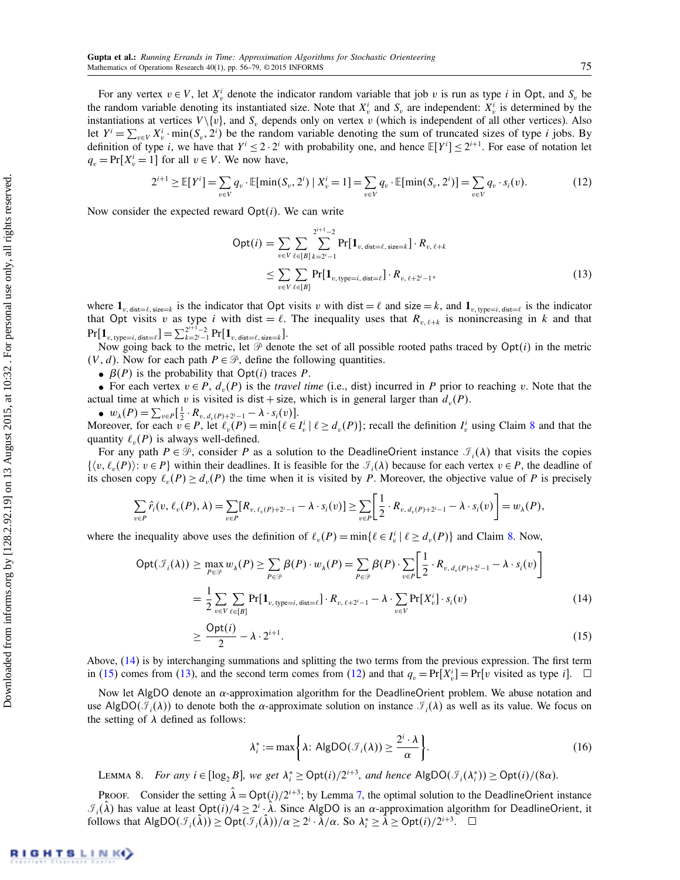For any vertex  $v \in V$ , let  $X_v^i$  denote the indicator random variable that job v is run as type i in Opt, and  $S_v$  be the random variable denoting its instantiated size. Note that  $X_v^i$  and  $S_v$  are independent:  $X_v^i$  is determined by the instantiations at vertices  $V \setminus \{v\}$ , and  $S_v$  depends only on vertex v (which is independent of all other vertices). Also let  $Y^i = \sum_{v \in V} X^i_v \cdot \min(S_v, 2^i)$  be the random variable denoting the sum of truncated sizes of type *i* jobs. By definition of type *i*, we have that  $Y^i \le 2 \cdot 2^i$  with probability one, and hence  $\mathbb{E}[Y^i] \le 2^{i+1}$ . For ease of notation let  $q_v = Pr[X_v^i = 1]$  for all  $v \in V$ . We now have,

<span id="page-20-3"></span>
$$
2^{i+1} \ge \mathbb{E}[Y^i] = \sum_{v \in V} q_v \cdot \mathbb{E}[\min(S_v, 2^i) \mid X^i_v = 1] = \sum_{v \in V} q_v \cdot \mathbb{E}[\min(S_v, 2^i)] = \sum_{v \in V} q_v \cdot s_i(v). \tag{12}
$$

Now consider the expected reward  $Opt(i)$ . We can write

<span id="page-20-2"></span>
$$
Opt(i) = \sum_{v \in V} \sum_{\ell \in [B]} \sum_{k=2^{i}-1}^{2^{i+1}-2} Pr[\mathbf{1}_{v, \text{ dist}=\ell, \text{ size}=k}] \cdot R_{v, \ell+k}
$$
  

$$
\leq \sum_{v \in V} \sum_{\ell \in [B]} Pr[\mathbf{1}_{v, \text{ type}=i, \text{ dist}=\ell}] \cdot R_{v, \ell+2^{i}-1},
$$
(13)

where  $\mathbf{1}_{v,\text{dist}=\ell,\text{size}=k}$  is the indicator that Opt visits v with dist  $=\ell$  and size  $=k$ , and  $\mathbf{1}_{v,\text{type}=i,\text{dist}=\ell}$  is the indicator that Opt visits v as type i with dist =  $\ell$ . The inequality uses that  $R_{v, \ell+k}$  is nonincreasing in k and that  $\Pr[\mathbf{1}_{v,\,\rm{type}=i,\,\rm{dist}=\ell}]=\sum_{k=2^i-1}^{2^{i+1}-2} \Pr[\mathbf{1}_{v,\,\rm{dist}=\ell,\,\rm{size}=k}].$ 

Now going back to the metric, let  $\mathcal P$  denote the set of all possible rooted paths traced by  $\mathrm{Opt}(i)$  in the metric  $(V, d)$ . Now for each path  $P \in \mathcal{P}$ , define the following quantities.

•  $\beta(P)$  is the probability that Opt(i) traces P.

• For each vertex  $v \in P$ ,  $d_v(P)$  is the *travel time* (i.e., dist) incurred in P prior to reaching v. Note that the actual time at which v is visited is dist + size, which is in general larger than  $d_v(P)$ .

•  $w_{\lambda}(P) = \sum_{v \in P} \left[ \frac{1}{2} \cdot R_{v, d_v(P) + 2^i - 1} - \lambda \cdot s_i(v) \right].$ 

Moreover, for each  $v \in P$ , let  $\ell_v(P) = \min\{\ell \in I_v^i \mid \ell \ge d_v(P)\}$ ; recall the definition  $I_v^i$  using Claim [8](#page-19-0) and that the quantity  $\ell_v(P)$  is always well-defined.

For any path  $P \in \mathcal{P}$ , consider P as a solution to the DeadlineOrient instance  $\mathcal{F}_i(\lambda)$  that visits the copies  $\{(v, \ell_v(P)) : v \in P\}$  within their deadlines. It is feasible for the  $\mathcal{I}_i(\lambda)$  because for each vertex  $v \in P$ , the deadline of its chosen copy  $\ell_v(P) \geq d_v(P)$  the time when it is visited by P. Moreover, the objective value of P is precisely

$$
\sum_{v \in P} \hat{r}_i(v, \ell_v(P), \lambda) = \sum_{v \in P} [R_{v, \ell_v(P)+2^i-1} - \lambda \cdot s_i(v)] \ge \sum_{v \in P} \left[ \frac{1}{2} \cdot R_{v, d_v(P)+2^i-1} - \lambda \cdot s_i(v) \right] = w_{\lambda}(P),
$$

where the inequality above uses the definition of  $\ell_v(P) = \min\{\ell \in I_v^i \mid \ell \ge d_v(P)\}\$  and Claim [8.](#page-19-0) Now,

<span id="page-20-1"></span>
$$
Opt(\mathcal{F}_i(\lambda)) \ge \max_{P \in \mathcal{P}} w_{\lambda}(P) \ge \sum_{P \in \mathcal{P}} \beta(P) \cdot w_{\lambda}(P) = \sum_{P \in \mathcal{P}} \beta(P) \cdot \sum_{v \in P} \left[ \frac{1}{2} \cdot R_{v, d_v(P) + 2^i - 1} - \lambda \cdot s_i(v) \right]
$$
  
= 
$$
\frac{1}{2} \sum_{v \in V} \sum_{\ell \in [B]} Pr[\mathbf{1}_{v, \text{ type}=i, \text{ dist}= \ell}] \cdot R_{v, \ell + 2^i - 1} - \lambda \cdot \sum_{v \in V} Pr[X_v^i] \cdot s_i(v)
$$
 (14)

$$
\geq \frac{\text{Opt}(i)}{2} - \lambda \cdot 2^{i+1}.\tag{15}
$$

Above, [\(14\)](#page-20-1) is by interchanging summations and splitting the two terms from the previous expression. The first term in [\(15\)](#page-20-1) comes from [\(13\)](#page-20-2), and the second term comes from [\(12\)](#page-20-3) and that  $q_v = Pr[X_v^i] = Pr[v]$  visited as type i.  $\Box$ 

Now let AlgDO denote an  $\alpha$ -approximation algorithm for the DeadlineOrient problem. We abuse notation and use AlgDO( $\mathcal{F}_i(\lambda)$ ) to denote both the  $\alpha$ -approximate solution on instance  $\mathcal{F}_i(\lambda)$  as well as its value. We focus on the setting of  $\lambda$  defined as follows:

<span id="page-20-4"></span>
$$
\lambda_i^* := \max\left\{\lambda \colon \text{AlgDO}(\mathcal{F}_i(\lambda)) \ge \frac{2^i \cdot \lambda}{\alpha}\right\}.
$$
 (16)

<span id="page-20-0"></span>LEMMA 8. For any  $i \in [\log_2 B]$ , we get  $\lambda_i^* \geq \text{Opt}(i)/2^{i+3}$ , and hence  $\text{AlgDO}(\mathcal{F}_i(\lambda_i^*)) \geq \text{Opt}(i)/(8\alpha)$ .

PROOF. Consider the setting  $\hat{\lambda} = \text{Opt}(i)/2^{i+3}$ ; by Lemma [7,](#page-19-2) the optimal solution to the DeadlineOrient instance  $\mathcal{F}_i(\hat{\lambda})$  has value at least  $Opt(i)/4 \geq 2^i \cdot \hat{\lambda}$ . Since AlgDO is an  $\alpha$ -approximation algorithm for DeadlineOrient, it follows that  $\text{AlgDO}(\mathcal{F}_i(\hat{\lambda})) \geq \text{Opt}(\mathcal{F}_i(\hat{\lambda}))/\alpha \geq 2^i \cdot \hat{\lambda}/\alpha$ . So  $\lambda_i^* \geq \hat{\lambda} \geq \text{Opt}(i)/2^{i+3}$ .  $\Box$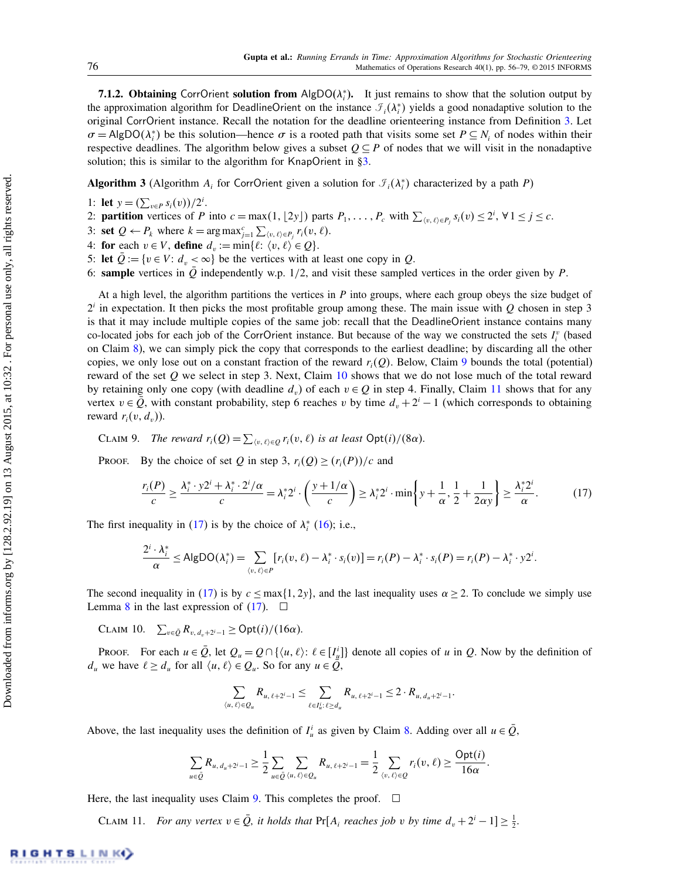**7.1.2. Obtaining** CorrOrient solution from  $\text{AlgDO}(\lambda_i^*)$ . It just remains to show that the solution output by the approximation algorithm for DeadlineOrient on the instance  $\mathcal{F}_i(\lambda_i^*)$  yields a good nonadaptive solution to the original CorrOrient instance. Recall the notation for the deadline orienteering instance from Definition [3.](#page-19-3) Let  $\sigma = \text{AlgDO}(\lambda_i^*)$  be this solution—hence  $\sigma$  is a rooted path that visits some set  $P \subseteq N_i$  of nodes within their respective deadlines. The algorithm below gives a subset  $Q \subseteq P$  of nodes that we will visit in the nonadaptive solution; this is similar to the algorithm for KnapOrient in [§3.](#page-4-1)

**Algorithm 3** (Algorithm  $A_i$  for CorrOrient given a solution for  $\mathcal{F}_i(\lambda_i^*)$  characterized by a path P)

- 1: **let**  $y = (\sum_{v \in P} s_i(v))/2^i$ .
- 2: **partition** vertices of P into  $c = \max(1, \lfloor 2y \rfloor)$  parts  $P_1, \ldots, P_c$  with  $\sum_{\langle v, \ell \rangle \in P_j} s_i(v) \leq 2^i$ ,  $\forall 1 \leq j \leq c$ .
- 3: set  $Q \leftarrow P_k$  where  $k = \arg \max_{j=1}^c \sum_{\langle v, \ell \rangle \in P_j} r_i(v, \ell)$ .
- 4: for each  $v \in V$ , define  $d_v := \min\{\ell : \langle v, \ell \rangle \in Q\}.$
- 5: let  $\overline{Q} := \{v \in V : d_v < \infty\}$  be the vertices with at least one copy in  $Q$ .
- 6: sample vertices in  $Q$  independently w.p. 1/2, and visit these sampled vertices in the order given by  $P$ .

At a high level, the algorithm partitions the vertices in  $P$  into groups, where each group obeys the size budget of  $2<sup>i</sup>$  in expectation. It then picks the most profitable group among these. The main issue with Q chosen in step 3 is that it may include multiple copies of the same job: recall that the DeadlineOrient instance contains many co-located jobs for each job of the CorrOrient instance. But because of the way we constructed the sets  $I_i^v$  (based on Claim [8\)](#page-19-0), we can simply pick the copy that corresponds to the earliest deadline; by discarding all the other copies, we only lose out on a constant fraction of the reward  $r_i(Q)$ . Below, Claim [9](#page-21-0) bounds the total (potential) reward of the set  $Q$  we select in step 3. Next, Claim [10](#page-21-1) shows that we do not lose much of the total reward by retaining only one copy (with deadline  $d_v$ ) of each  $v \in Q$  in step 4. Finally, Claim [11](#page-21-2) shows that for any vertex  $v \in \overline{Q}$ , with constant probability, step 6 reaches v by time  $d_v + 2^i - 1$  (which corresponds to obtaining reward  $r_i(v, d_v)$ ).

<span id="page-21-0"></span>CLAIM 9. The reward  $r_i(Q) = \sum_{\langle v, \ell \rangle \in Q} r_i(v, \ell)$  is at least  $\text{Opt}(i)/(8\alpha)$ .

PROOF. By the choice of set Q in step 3,  $r_i(Q) \ge (r_i(P))/c$  and

<span id="page-21-3"></span>
$$
\frac{r_i(P)}{c} \ge \frac{\lambda_i^* \cdot y^{2^i} + \lambda_i^* \cdot 2^i/\alpha}{c} = \lambda_i^* 2^i \cdot \left(\frac{y + 1/\alpha}{c}\right) \ge \lambda_i^* 2^i \cdot \min\left\{y + \frac{1}{\alpha}, \frac{1}{2} + \frac{1}{2\alpha y}\right\} \ge \frac{\lambda_i^* 2^i}{\alpha}.\tag{17}
$$

The first inequality in [\(17\)](#page-21-3) is by the choice of  $\lambda_i^*$  [\(16\)](#page-20-4); i.e.,

$$
\frac{2^i\cdot\lambda_i^*}{\alpha}\leq \mathsf{AlgDO}(\lambda_i^*)=\sum_{\langle v,\ell\rangle\in P} [r_i(v,\ell)-\lambda_i^*\cdot s_i(v)]=r_i(P)-\lambda_i^*\cdot s_i(P)=r_i(P)-\lambda_i^*\cdot y2^i.
$$

The second inequality in [\(17\)](#page-21-3) is by  $c \le \max\{1, 2y\}$ , and the last inequality uses  $\alpha \ge 2$ . To conclude we simply use Lemma [8](#page-20-0) in the last expression of [\(17\)](#page-21-3).  $\Box$ 

<span id="page-21-1"></span>CLAIM 10.  $\sum_{v \in \bar{Q}} R_{v, d_v + 2^i - 1} \ge \text{Opt}(i) / (16\alpha).$ 

Proof. For each  $u \in \overline{Q}$ , let  $Q_u = Q \cap \{\langle u, \ell \rangle : \ell \in [I_u^i]\}$  denote all copies of u in Q. Now by the definition of  $d_u$  we have  $\ell \geq d_u$  for all  $\langle u, \ell \rangle \in Q_u$ . So for any  $u \in \overline{Q}$ ,

$$
\sum_{\langle u,\ell\rangle\in\mathcal{Q}_u}R_{u,\ell+2^i-1}\leq\sum_{\ell\in I_u^i:\ell\geq d_u}R_{u,\ell+2^i-1}\leq 2\cdot R_{u,\,d_u+2^i-1}.
$$

Above, the last inequality uses the definition of  $I^i_\mu$  as given by Claim [8.](#page-19-0) Adding over all  $u \in \bar{Q}$ ,

$$
\sum_{u\in\bar{Q}}R_{u,\,d_u+2^i-1}\geq \frac{1}{2}\sum_{u\in\bar{Q}}\sum_{\langle u,\,\ell\rangle\in Q_u}R_{u,\,\ell+2^i-1}=\frac{1}{2}\sum_{\langle v,\,\ell\rangle\in Q}r_i(v,\,\ell)\geq \frac{\mathsf{Opt}(i)}{16\alpha}.
$$

Here, the last inequality uses Claim [9.](#page-21-0) This completes the proof.  $\Box$ 

<span id="page-21-2"></span>CLAIM 11. For any vertex  $v \in \overline{Q}$ , it holds that  $Pr[A_i \text{ reaches job } v \text{ by time } d_v + 2^i - 1] \geq \frac{1}{2}$ .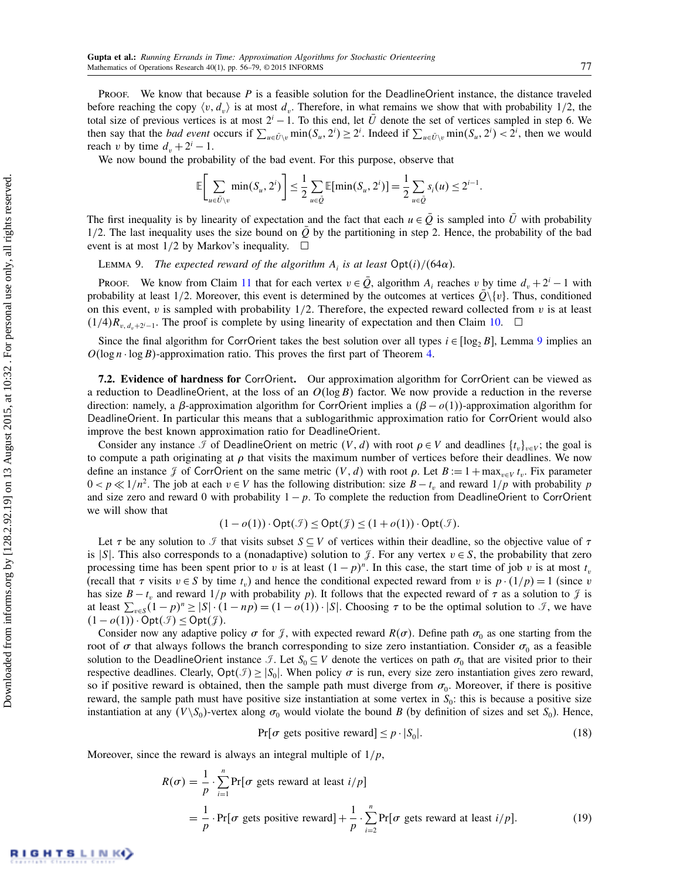Proof. We know that because  $P$  is a feasible solution for the DeadlineOrient instance, the distance traveled before reaching the copy  $\langle v, d_v \rangle$  is at most  $d_v$ . Therefore, in what remains we show that with probability 1/2, the total size of previous vertices is at most  $2^{i} - 1$ . To this end, let U denote the set of vertices sampled in step 6. We then say that the *bad event* occurs if  $\sum_{u \in \bar{U} \setminus v} \min(S_u, 2^i) \ge 2^i$ . Indeed if  $\sum_{u \in \bar{U} \setminus v} \min(S_u, 2^i) < 2^i$ , then we would reach v by time  $d_v + 2^i - 1$ .

We now bound the probability of the bad event. For this purpose, observe that

$$
\mathbb{E}\bigg[\sum_{u\in\bar{U}\setminus v}\min(S_u, 2^i)\bigg] \leq \frac{1}{2}\sum_{u\in\bar{Q}}\mathbb{E}[\min(S_u, 2^i)] = \frac{1}{2}\sum_{u\in\bar{Q}}s_i(u) \leq 2^{i-1}.
$$

The first inequality is by linearity of expectation and the fact that each  $u \in \overline{Q}$  is sampled into  $\overline{U}$  with probability 1/2. The last inequality uses the size bound on  $\bar{Q}$  by the partitioning in step 2. Hence, the probability of the bad event is at most  $1/2$  by Markov's inequality.  $\square$ 

<span id="page-22-0"></span>LEMMA 9. The expected reward of the algorithm  $A_i$  is at least  $\mathrm{Opt}(i)/(64\alpha)$ .

Proof. We know from Claim [11](#page-21-2) that for each vertex  $v \in \overline{Q}$ , algorithm  $A_i$  reaches v by time  $d_v + 2^i - 1$  with probability at least 1/2. Moreover, this event is determined by the outcomes at vertices  $Q\{v\}$ . Thus, conditioned on this event, v is sampled with probability  $1/2$ . Therefore, the expected reward collected from v is at least  $(1/4)R_{v,d_v+2^i-1}$ . The proof is complete by using linearity of expectation and then Claim [10.](#page-21-1) □

Since the final algorithm for CorrOrient takes the best solution over all types  $i \in [\log_2 B]$ , Lemma [9](#page-22-0) implies an  $O(\log n \cdot \log B)$ -approximation ratio. This proves the first part of Theorem [4.](#page-2-3)

7.2. Evidence of hardness for CorrOrient. Our approximation algorithm for CorrOrient can be viewed as a reduction to DeadlineOrient, at the loss of an  $O(\log B)$  factor. We now provide a reduction in the reverse direction: namely, a  $\beta$ -approximation algorithm for CorrOrient implies a  $(\beta - o(1))$ -approximation algorithm for DeadlineOrient. In particular this means that a sublogarithmic approximation ratio for CorrOrient would also improve the best known approximation ratio for DeadlineOrient.

Consider any instance  $\mathcal F$  of DeadlineOrient on metric  $(V, d)$  with root  $\rho \in V$  and deadlines  $\{t_v\}_{v \in V}$ ; the goal is to compute a path originating at  $\rho$  that visits the maximum number of vertices before their deadlines. We now define an instance  $\mathcal{J}$  of CorrOrient on the same metric  $(V, d)$  with root  $\rho$ . Let  $B := 1 + \max_{v \in V} t_v$ . Fix parameter  $0 < p \ll 1/n^2$ . The job at each  $v \in V$  has the following distribution: size  $B - t_v$  and reward  $1/p$  with probability p and size zero and reward 0 with probability  $1 - p$ . To complete the reduction from DeadlineOrient to CorrOrient we will show that

$$
(1 - o(1)) \cdot \text{Opt}(\mathcal{F}) \le \text{Opt}(\mathcal{F}) \le (1 + o(1)) \cdot \text{Opt}(\mathcal{F}).
$$

Let  $\tau$  be any solution to  $\mathcal I$  that visits subset  $S \subseteq V$  of vertices within their deadline, so the objective value of  $\tau$ is  $|S|$ . This also corresponds to a (nonadaptive) solution to  $\mathcal{J}$ . For any vertex  $v \in S$ , the probability that zero processing time has been spent prior to v is at least  $(1-p)^n$ . In this case, the start time of job v is at most  $t_v$ (recall that  $\tau$  visits  $v \in S$  by time  $t_v$ ) and hence the conditional expected reward from v is  $p \cdot (1/p) = 1$  (since v has size  $B - t_v$  and reward  $1/p$  with probability p). It follows that the expected reward of  $\tau$  as a solution to  $\mathcal{J}$  is at least  $\sum_{v \in S} (1 - p)^n \ge |S| \cdot (1 - np) = (1 - o(1)) \cdot |S|$ . Choosing  $\tau$  to be the optimal solution to  $\mathcal{I}$ , we have  $(1 - o(1)) \cdot \text{Opt}(\mathcal{J}) \leq \text{Opt}(\mathcal{J}).$ 

Consider now any adaptive policy  $\sigma$  for  $\mathcal{J}$ , with expected reward  $R(\sigma)$ . Define path  $\sigma_0$  as one starting from the root of  $\sigma$  that always follows the branch corresponding to size zero instantiation. Consider  $\sigma_0$  as a feasible solution to the DeadlineOrient instance  $\mathcal{I}$ . Let  $S_0 \subseteq V$  denote the vertices on path  $\sigma_0$  that are visited prior to their respective deadlines. Clearly,  $Opt(\mathcal{I}) \ge |S_0|$ . When policy  $\sigma$  is run, every size zero instantiation gives zero reward, so if positive reward is obtained, then the sample path must diverge from  $\sigma_0$ . Moreover, if there is positive reward, the sample path must have positive size instantiation at some vertex in  $S_0$ : this is because a positive size instantiation at any  $(V \setminus S_0)$ -vertex along  $\sigma_0$  would violate the bound B (by definition of sizes and set  $S_0$ ). Hence,

<span id="page-22-2"></span>
$$
Pr[\sigma \text{ gets positive reward}] \le p \cdot |S_0|. \tag{18}
$$

Moreover, since the reward is always an integral multiple of  $1/p$ ,

<span id="page-22-1"></span>
$$
R(\sigma) = \frac{1}{p} \cdot \sum_{i=1}^{n} \Pr[\sigma \text{ gets reward at least } i/p]
$$
  
=  $\frac{1}{p} \cdot \Pr[\sigma \text{ gets positive reward}] + \frac{1}{p} \cdot \sum_{i=2}^{n} \Pr[\sigma \text{ gets reward at least } i/p].$  (19)

RIGHTS LINK()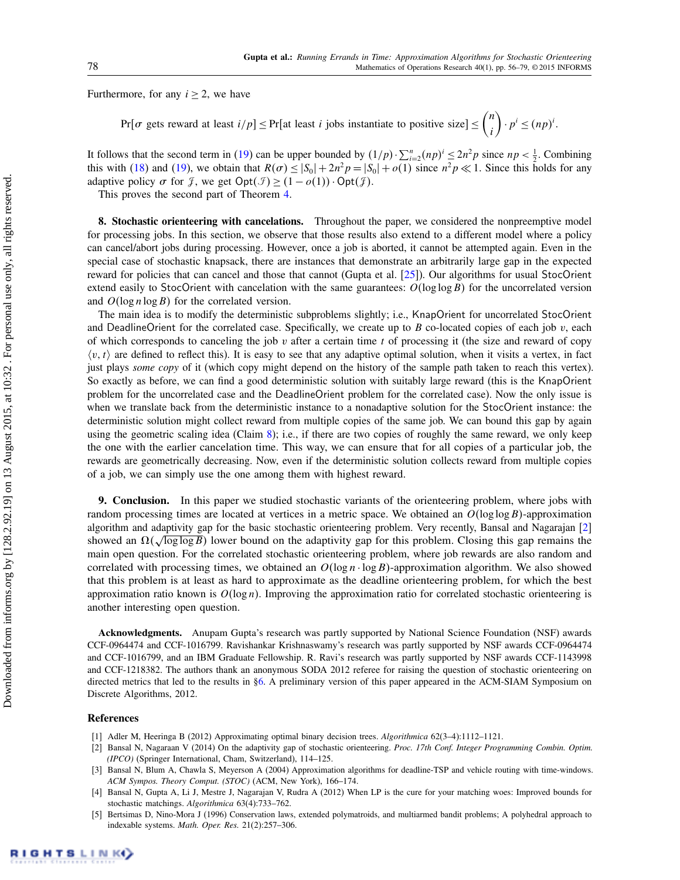Furthermore, for any  $i \geq 2$ , we have

 $Pr[\sigma]$  gets reward at least  $i/p] \leq Pr[\text{at least } i]$  jobs instantiate to positive size  $\leq \binom{n}{r}$ i  $\bigg\} \cdot p^i \leq (np)^i.$ 

It follows that the second term in [\(19\)](#page-22-1) can be upper bounded by  $(1/p) \cdot \sum_{i=2}^{n} (np)^i \le 2n^2 p$  since  $np < \frac{1}{2}$ . Combining this with [\(18\)](#page-22-2) and [\(19\)](#page-22-1), we obtain that  $R(\sigma) \leq |S_0| + 2n^2p = |S_0| + o(1)$  since  $n^2p \ll 1$ . Since this holds for any adaptive policy  $\sigma$  for  $\mathcal{J}$ , we get  $\text{Opt}(\mathcal{J}) \geq (1 - o(1)) \cdot \text{Opt}(\mathcal{J})$ .

This proves the second part of Theorem [4.](#page-2-3)

<span id="page-23-5"></span>8. Stochastic orienteering with cancelations. Throughout the paper, we considered the nonpreemptive model for processing jobs. In this section, we observe that those results also extend to a different model where a policy can cancel/abort jobs during processing. However, once a job is aborted, it cannot be attempted again. Even in the special case of stochastic knapsack, there are instances that demonstrate an arbitrarily large gap in the expected reward for policies that can cancel and those that cannot (Gupta et al. [\[25\]](#page-24-9)). Our algorithms for usual StocOrient extend easily to StocOrient with cancelation with the same guarantees:  $O(\log \log B)$  for the uncorrelated version and  $O(\log n \log B)$  for the correlated version.

The main idea is to modify the deterministic subproblems slightly; i.e., KnapOrient for uncorrelated StocOrient and DeadlineOrient for the correlated case. Specifically, we create up to  $B$  co-located copies of each job  $v$ , each of which corresponds to canceling the job  $v$  after a certain time  $t$  of processing it (the size and reward of copy  $\langle v, t \rangle$  are defined to reflect this). It is easy to see that any adaptive optimal solution, when it visits a vertex, in fact just plays *some copy* of it (which copy might depend on the history of the sample path taken to reach this vertex). So exactly as before, we can find a good deterministic solution with suitably large reward (this is the KnapOrient problem for the uncorrelated case and the DeadlineOrient problem for the correlated case). Now the only issue is when we translate back from the deterministic instance to a nonadaptive solution for the StocOrient instance: the deterministic solution might collect reward from multiple copies of the same job. We can bound this gap by again using the geometric scaling idea (Claim [8\)](#page-19-0); i.e., if there are two copies of roughly the same reward, we only keep the one with the earlier cancelation time. This way, we can ensure that for all copies of a particular job, the rewards are geometrically decreasing. Now, even if the deterministic solution collects reward from multiple copies of a job, we can simply use the one among them with highest reward.

9. Conclusion. In this paper we studied stochastic variants of the orienteering problem, where jobs with random processing times are located at vertices in a metric space. We obtained an  $O(\log \log B)$ -approximation algorithm and adaptivity gap for the basic stochastic orienteering problem. Very recently, Bansal and Nagarajan [\[2\]](#page-23-0) algorium and adaptivity gap for the basic stochastic orienteering problem. Very recently, bansal and Nagarajan [2] showed an  $\Omega(\sqrt{\log\log B})$  lower bound on the adaptivity gap for this problem. Closing this gap remains the main open question. For the correlated stochastic orienteering problem, where job rewards are also random and correlated with processing times, we obtained an  $O(\log n \cdot \log B)$ -approximation algorithm. We also showed that this problem is at least as hard to approximate as the deadline orienteering problem, for which the best approximation ratio known is  $O(\log n)$ . Improving the approximation ratio for correlated stochastic orienteering is another interesting open question.

Acknowledgments. Anupam Gupta's research was partly supported by National Science Foundation (NSF) awards CCF-0964474 and CCF-1016799. Ravishankar Krishnaswamy's research was partly supported by NSF awards CCF-0964474 and CCF-1016799, and an IBM Graduate Fellowship. R. Ravi's research was partly supported by NSF awards CCF-1143998 and CCF-1218382. The authors thank an anonymous SODA 2012 referee for raising the question of stochastic orienteering on directed metrics that led to the results in [§6.](#page-13-0) A preliminary version of this paper appeared in the ACM-SIAM Symposium on Discrete Algorithms, 2012.

#### References

- <span id="page-23-4"></span>[1] Adler M, Heeringa B (2012) Approximating optimal binary decision trees. Algorithmica 62(3–4):1112–1121.
- <span id="page-23-0"></span>[2] Bansal N, Nagaraan V (2014) On the adaptivity gap of stochastic orienteering. Proc. 17th Conf. Integer Programming Combin. Optim. (IPCO) (Springer International, Cham, Switzerland), 114–125.
- <span id="page-23-1"></span>[3] Bansal N, Blum A, Chawla S, Meyerson A (2004) Approximation algorithms for deadline-TSP and vehicle routing with time-windows. ACM Sympos. Theory Comput. (STOC) (ACM, New York), 166–174.
- <span id="page-23-2"></span>[4] Bansal N, Gupta A, Li J, Mestre J, Nagarajan V, Rudra A (2012) When LP is the cure for your matching woes: Improved bounds for stochastic matchings. Algorithmica 63(4):733-762
- <span id="page-23-3"></span>[5] Bertsimas D, Nino-Mora J (1996) Conservation laws, extended polymatroids, and multiarmed bandit problems; A polyhedral approach to indexable systems. Math. Oper. Res. 21(2):257–306.